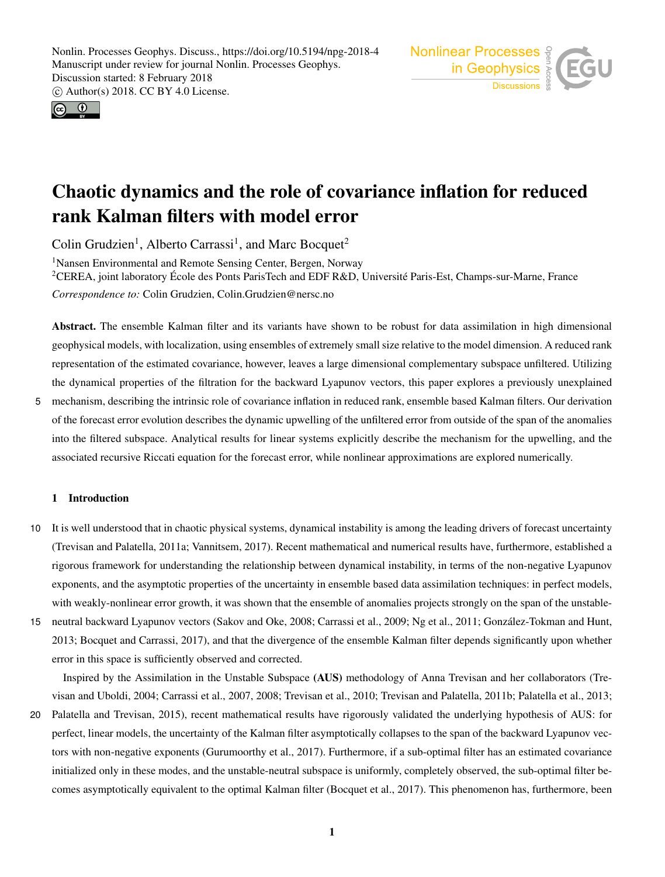



# Chaotic dynamics and the role of covariance inflation for reduced rank Kalman filters with model error

Colin Grudzien<sup>1</sup>, Alberto Carrassi<sup>1</sup>, and Marc Bocquet<sup>2</sup>

<sup>1</sup>Nansen Environmental and Remote Sensing Center, Bergen, Norway <sup>2</sup>CEREA, joint laboratory École des Ponts ParisTech and EDF R&D, Université Paris-Est, Champs-sur-Marne, France *Correspondence to:* Colin Grudzien, Colin.Grudzien@nersc.no

Abstract. The ensemble Kalman filter and its variants have shown to be robust for data assimilation in high dimensional geophysical models, with localization, using ensembles of extremely small size relative to the model dimension. A reduced rank representation of the estimated covariance, however, leaves a large dimensional complementary subspace unfiltered. Utilizing the dynamical properties of the filtration for the backward Lyapunov vectors, this paper explores a previously unexplained

5 mechanism, describing the intrinsic role of covariance inflation in reduced rank, ensemble based Kalman filters. Our derivation of the forecast error evolution describes the dynamic upwelling of the unfiltered error from outside of the span of the anomalies into the filtered subspace. Analytical results for linear systems explicitly describe the mechanism for the upwelling, and the associated recursive Riccati equation for the forecast error, while nonlinear approximations are explored numerically.

# 1 Introduction

- 10 It is well understood that in chaotic physical systems, dynamical instability is among the leading drivers of forecast uncertainty (Trevisan and Palatella, 2011a; Vannitsem, 2017). Recent mathematical and numerical results have, furthermore, established a rigorous framework for understanding the relationship between dynamical instability, in terms of the non-negative Lyapunov exponents, and the asymptotic properties of the uncertainty in ensemble based data assimilation techniques: in perfect models, with weakly-nonlinear error growth, it was shown that the ensemble of anomalies projects strongly on the span of the unstable-
- 15 neutral backward Lyapunov vectors (Sakov and Oke, 2008; Carrassi et al., 2009; Ng et al., 2011; González-Tokman and Hunt, 2013; Bocquet and Carrassi, 2017), and that the divergence of the ensemble Kalman filter depends significantly upon whether error in this space is sufficiently observed and corrected.

Inspired by the Assimilation in the Unstable Subspace (AUS) methodology of Anna Trevisan and her collaborators (Trevisan and Uboldi, 2004; Carrassi et al., 2007, 2008; Trevisan et al., 2010; Trevisan and Palatella, 2011b; Palatella et al., 2013;

20 Palatella and Trevisan, 2015), recent mathematical results have rigorously validated the underlying hypothesis of AUS: for perfect, linear models, the uncertainty of the Kalman filter asymptotically collapses to the span of the backward Lyapunov vectors with non-negative exponents (Gurumoorthy et al., 2017). Furthermore, if a sub-optimal filter has an estimated covariance initialized only in these modes, and the unstable-neutral subspace is uniformly, completely observed, the sub-optimal filter becomes asymptotically equivalent to the optimal Kalman filter (Bocquet et al., 2017). This phenomenon has, furthermore, been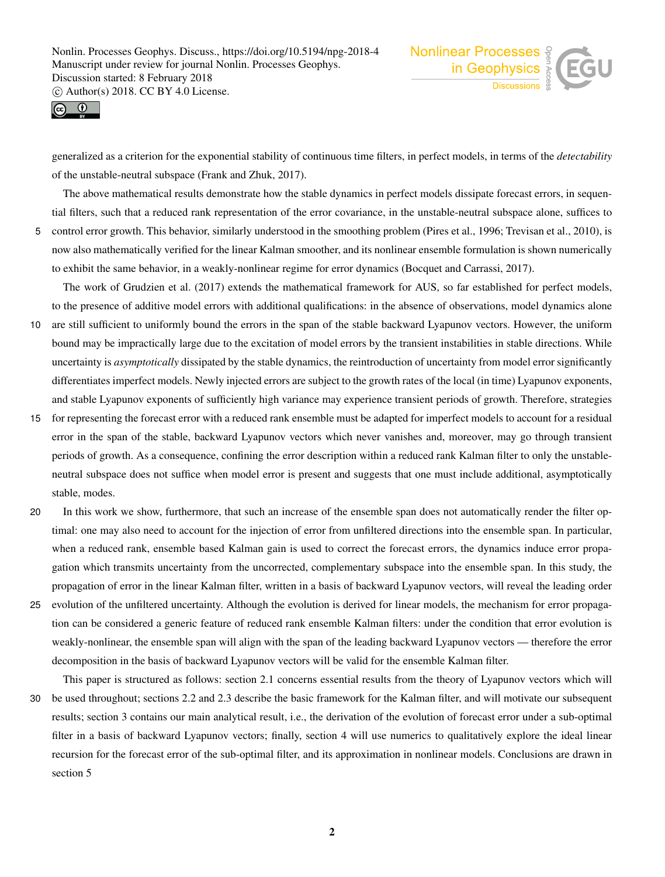



generalized as a criterion for the exponential stability of continuous time filters, in perfect models, in terms of the *detectability* of the unstable-neutral subspace (Frank and Zhuk, 2017).

The above mathematical results demonstrate how the stable dynamics in perfect models dissipate forecast errors, in sequential filters, such that a reduced rank representation of the error covariance, in the unstable-neutral subspace alone, suffices to 5 control error growth. This behavior, similarly understood in the smoothing problem (Pires et al., 1996; Trevisan et al., 2010), is now also mathematically verified for the linear Kalman smoother, and its nonlinear ensemble formulation is shown numerically to exhibit the same behavior, in a weakly-nonlinear regime for error dynamics (Bocquet and Carrassi, 2017).

The work of Grudzien et al. (2017) extends the mathematical framework for AUS, so far established for perfect models, to the presence of additive model errors with additional qualifications: in the absence of observations, model dynamics alone

- 10 are still sufficient to uniformly bound the errors in the span of the stable backward Lyapunov vectors. However, the uniform bound may be impractically large due to the excitation of model errors by the transient instabilities in stable directions. While uncertainty is *asymptotically* dissipated by the stable dynamics, the reintroduction of uncertainty from model error significantly differentiates imperfect models. Newly injected errors are subject to the growth rates of the local (in time) Lyapunov exponents, and stable Lyapunov exponents of sufficiently high variance may experience transient periods of growth. Therefore, strategies
- 15 for representing the forecast error with a reduced rank ensemble must be adapted for imperfect models to account for a residual error in the span of the stable, backward Lyapunov vectors which never vanishes and, moreover, may go through transient periods of growth. As a consequence, confining the error description within a reduced rank Kalman filter to only the unstableneutral subspace does not suffice when model error is present and suggests that one must include additional, asymptotically stable, modes.
- 20 In this work we show, furthermore, that such an increase of the ensemble span does not automatically render the filter optimal: one may also need to account for the injection of error from unfiltered directions into the ensemble span. In particular, when a reduced rank, ensemble based Kalman gain is used to correct the forecast errors, the dynamics induce error propagation which transmits uncertainty from the uncorrected, complementary subspace into the ensemble span. In this study, the propagation of error in the linear Kalman filter, written in a basis of backward Lyapunov vectors, will reveal the leading order

25 evolution of the unfiltered uncertainty. Although the evolution is derived for linear models, the mechanism for error propagation can be considered a generic feature of reduced rank ensemble Kalman filters: under the condition that error evolution is weakly-nonlinear, the ensemble span will align with the span of the leading backward Lyapunov vectors — therefore the error decomposition in the basis of backward Lyapunov vectors will be valid for the ensemble Kalman filter.

This paper is structured as follows: section 2.1 concerns essential results from the theory of Lyapunov vectors which will 30 be used throughout; sections 2.2 and 2.3 describe the basic framework for the Kalman filter, and will motivate our subsequent results; section 3 contains our main analytical result, i.e., the derivation of the evolution of forecast error under a sub-optimal filter in a basis of backward Lyapunov vectors; finally, section 4 will use numerics to qualitatively explore the ideal linear recursion for the forecast error of the sub-optimal filter, and its approximation in nonlinear models. Conclusions are drawn in section 5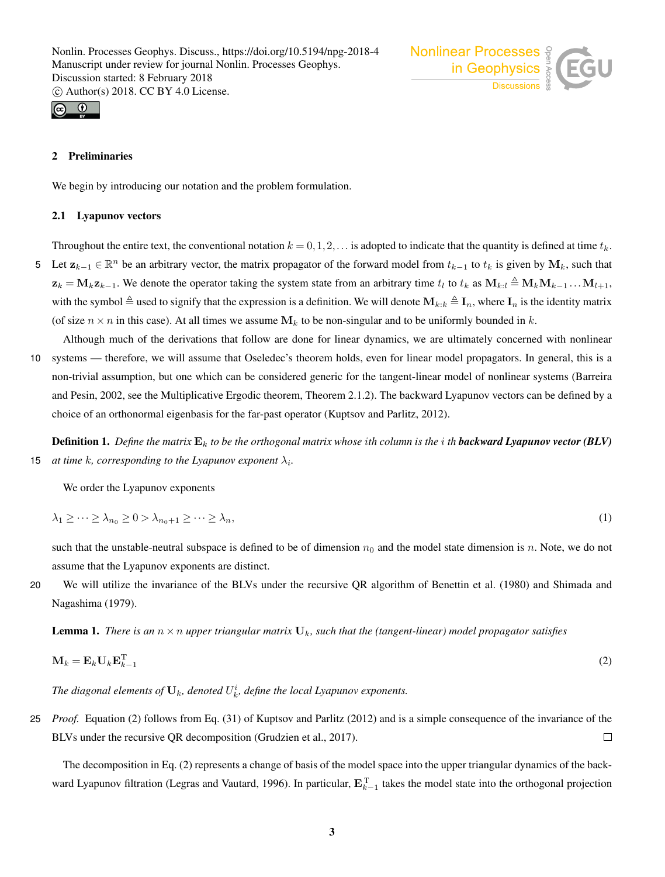



# 2 Preliminaries

We begin by introducing our notation and the problem formulation.

#### 2.1 Lyapunov vectors

Throughout the entire text, the conventional notation  $k = 0, 1, 2, \ldots$  is adopted to indicate that the quantity is defined at time  $t_k$ . 5 Let  $z_{k-1} \in \mathbb{R}^n$  be an arbitrary vector, the matrix propagator of the forward model from  $t_{k-1}$  to  $t_k$  is given by  $M_k$ , such that  $z_k = M_k z_{k-1}$ . We denote the operator taking the system state from an arbitrary time  $t_l$  to  $t_k$  as  $M_{k:l} \triangleq M_k M_{k-1} \dots M_{l+1}$ , with the symbol  $\triangleq$  used to signify that the expression is a definition. We will denote  $\mathbf{M}_{k:k} \triangleq \mathbf{I}_n$ , where  $\mathbf{I}_n$  is the identity matrix (of size  $n \times n$  in this case). At all times we assume  $M_k$  to be non-singular and to be uniformly bounded in k.

Although much of the derivations that follow are done for linear dynamics, we are ultimately concerned with nonlinear 10 systems — therefore, we will assume that Oseledec's theorem holds, even for linear model propagators. In general, this is a non-trivial assumption, but one which can be considered generic for the tangent-linear model of nonlinear systems (Barreira and Pesin, 2002, see the Multiplicative Ergodic theorem, Theorem 2.1.2). The backward Lyapunov vectors can be defined by a choice of an orthonormal eigenbasis for the far-past operator (Kuptsov and Parlitz, 2012).

Definition 1. *Define the matrix* E<sup>k</sup> *to be the orthogonal matrix whose* i*th column is the* i *th backward Lyapunov vector (BLV)* **15** *at time k, corresponding to the Lyapunov exponent*  $\lambda_i$ *.* 

We order the Lyapunov exponents

$$
\lambda_1 \geq \dots \geq \lambda_{n_0} \geq 0 > \lambda_{n_0+1} \geq \dots \geq \lambda_n,\tag{1}
$$

such that the unstable-neutral subspace is defined to be of dimension  $n_0$  and the model state dimension is n. Note, we do not assume that the Lyapunov exponents are distinct.

20 We will utilize the invariance of the BLVs under the recursive QR algorithm of Benettin et al. (1980) and Shimada and Nagashima (1979).

**Lemma 1.** *There is an*  $n \times n$  *upper triangular matrix*  $\mathbf{U}_k$ *, such that the (tangent-linear) model propagator satisfies* 

$$
\mathbf{M}_k = \mathbf{E}_k \mathbf{U}_k \mathbf{E}_{k-1}^{\mathrm{T}} \tag{2}
$$

The diagonal elements of  $\mathbf{U}_k$ , denoted  $U_k^i$ , define the local Lyapunov exponents.

25 *Proof.* Equation (2) follows from Eq. (31) of Kuptsov and Parlitz (2012) and is a simple consequence of the invariance of the BLVs under the recursive QR decomposition (Grudzien et al., 2017).  $\Box$ 

The decomposition in Eq. (2) represents a change of basis of the model space into the upper triangular dynamics of the backward Lyapunov filtration (Legras and Vautard, 1996). In particular,  $E_{k-1}$  takes the model state into the orthogonal projection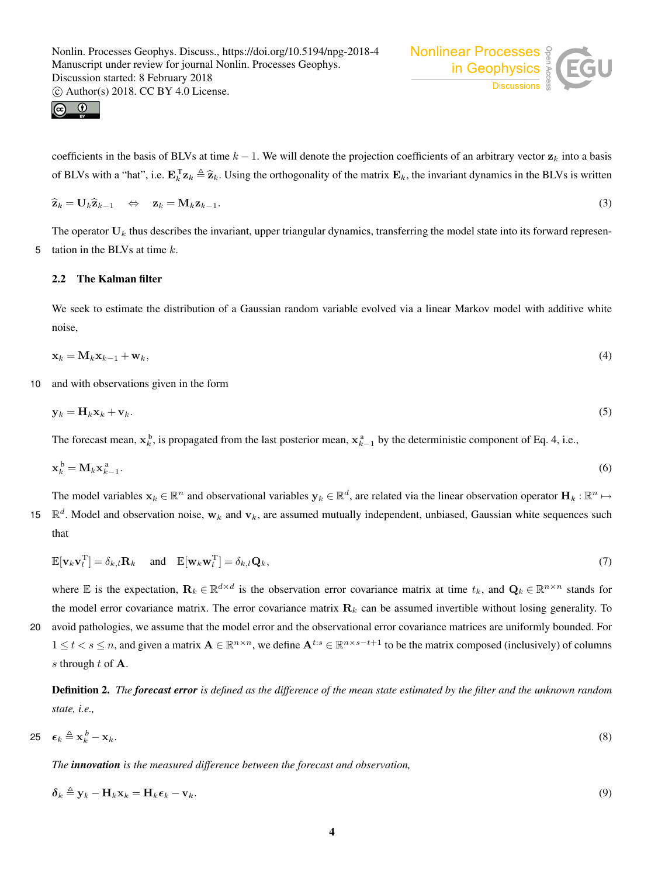

$$
\begin{array}{cc} \textbf{G} & \textbf{O} \\ \textbf{F} & \textbf{N} \end{array}
$$

coefficients in the basis of BLVs at time  $k - 1$ . We will denote the projection coefficients of an arbitrary vector  $z_k$  into a basis of BLVs with a "hat", i.e.  $\mathbf{E}_{k}^T \mathbf{z}_k \triangleq \hat{\mathbf{z}}_k$ . Using the orthogonality of the matrix  $\mathbf{E}_k$ , the invariant dynamics in the BLVs is written

$$
\widehat{\mathbf{z}}_k = \mathbf{U}_k \widehat{\mathbf{z}}_{k-1} \quad \Leftrightarrow \quad \mathbf{z}_k = \mathbf{M}_k \mathbf{z}_{k-1}.
$$
\n(3)

The operator  $U_k$  thus describes the invariant, upper triangular dynamics, transferring the model state into its forward represen-5 tation in the BLVs at time  $k$ .

## 2.2 The Kalman filter

We seek to estimate the distribution of a Gaussian random variable evolved via a linear Markov model with additive white noise,

$$
\mathbf{x}_k = \mathbf{M}_k \mathbf{x}_{k-1} + \mathbf{w}_k,\tag{4}
$$

10 and with observations given in the form

$$
\mathbf{y}_k = \mathbf{H}_k \mathbf{x}_k + \mathbf{v}_k. \tag{5}
$$

The forecast mean,  $x_k^b$ , is propagated from the last posterior mean,  $x_{k-1}^a$  by the deterministic component of Eq. 4, i.e.,

$$
\mathbf{x}_k^{\mathrm{b}} = \mathbf{M}_k \mathbf{x}_{k-1}^{\mathrm{a}}.\tag{6}
$$

The model variables  $x_k \in \mathbb{R}^n$  and observational variables  $y_k \in \mathbb{R}^d$ , are related via the linear observation operator  $H_k : \mathbb{R}^n \mapsto$ 15  $\mathbb{R}^d$ . Model and observation noise,  $w_k$  and  $v_k$ , are assumed mutually independent, unbiased, Gaussian white sequences such that

$$
\mathbb{E}[\mathbf{v}_k \mathbf{v}_l^{\mathrm{T}}] = \delta_{k,l} \mathbf{R}_k \quad \text{and} \quad \mathbb{E}[\mathbf{w}_k \mathbf{w}_l^{\mathrm{T}}] = \delta_{k,l} \mathbf{Q}_k,\tag{7}
$$

where E is the expectation,  $\mathbf{R}_k \in \mathbb{R}^{d \times d}$  is the observation error covariance matrix at time  $t_k$ , and  $\mathbf{Q}_k \in \mathbb{R}^{n \times n}$  stands for the model error covariance matrix. The error covariance matrix  $\mathbf{R}_k$  can be assumed invertible without losing generality. To

20 avoid pathologies, we assume that the model error and the observational error covariance matrices are uniformly bounded. For  $1 \le t < s \le n$ , and given a matrix  $\mathbf{A} \in \mathbb{R}^{n \times n}$ , we define  $\mathbf{A}^{t:s} \in \mathbb{R}^{n \times s-t+1}$  to be the matrix composed (inclusively) of columns s through  $t$  of  $A$ .

Definition 2. *The forecast error is defined as the difference of the mean state estimated by the filter and the unknown random state, i.e.,*

$$
25 \quad \epsilon_k \stackrel{\Delta}{=} \mathbf{x}_k^b - \mathbf{x}_k. \tag{8}
$$

*The innovation is the measured difference between the forecast and observation,*

$$
\delta_k \triangleq \mathbf{y}_k - \mathbf{H}_k \mathbf{x}_k = \mathbf{H}_k \boldsymbol{\epsilon}_k - \mathbf{v}_k. \tag{9}
$$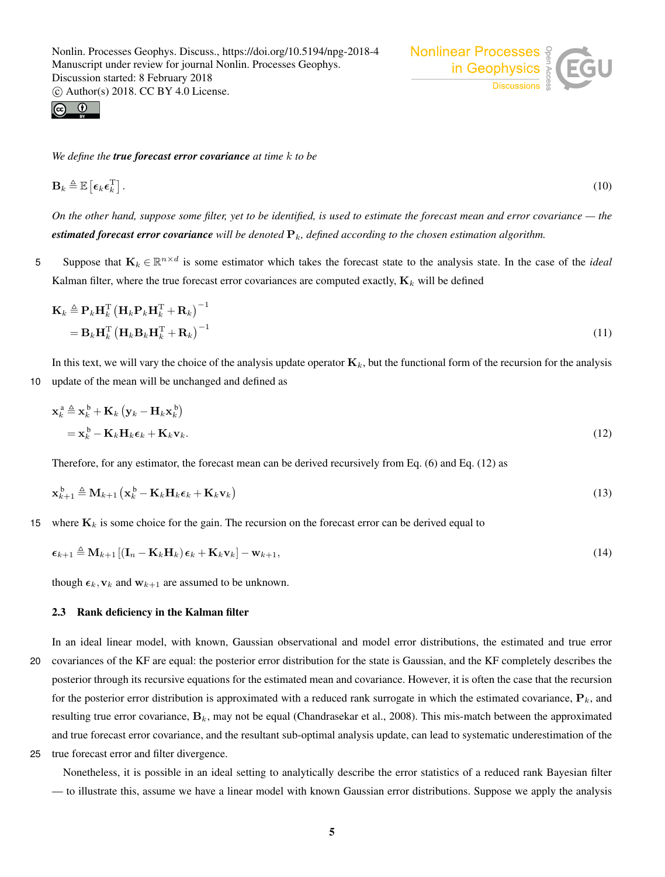

*We define the true forecast error covariance at time* k *to be*

$$
\mathbf{B}_k \triangleq \mathbb{E}\left[\boldsymbol{\epsilon}_k \boldsymbol{\epsilon}_k^{\mathrm{T}}\right].\tag{10}
$$

*On the other hand, suppose some filter, yet to be identified, is used to estimate the forecast mean and error covariance — the estimated forecast error covariance* will be denoted  $P_k$ , defined according to the chosen estimation algorithm.

5 Suppose that  $K_k \in \mathbb{R}^{n \times d}$  is some estimator which takes the forecast state to the analysis state. In the case of the *ideal* Kalman filter, where the true forecast error covariances are computed exactly,  $K_k$  will be defined

$$
\mathbf{K}_{k} \triangleq \mathbf{P}_{k} \mathbf{H}_{k}^{\mathrm{T}} \left( \mathbf{H}_{k} \mathbf{P}_{k} \mathbf{H}_{k}^{\mathrm{T}} + \mathbf{R}_{k} \right)^{-1} \n= \mathbf{B}_{k} \mathbf{H}_{k}^{\mathrm{T}} \left( \mathbf{H}_{k} \mathbf{B}_{k} \mathbf{H}_{k}^{\mathrm{T}} + \mathbf{R}_{k} \right)^{-1}
$$
\n(11)

In this text, we will vary the choice of the analysis update operator  $\mathbf{K}_k$ , but the functional form of the recursion for the analysis 10 update of the mean will be unchanged and defined as

$$
\mathbf{x}_{k}^{\mathbf{a}} \triangleq \mathbf{x}_{k}^{\mathbf{b}} + \mathbf{K}_{k} \left( \mathbf{y}_{k} - \mathbf{H}_{k} \mathbf{x}_{k}^{\mathbf{b}} \right) \n= \mathbf{x}_{k}^{\mathbf{b}} - \mathbf{K}_{k} \mathbf{H}_{k} \boldsymbol{\epsilon}_{k} + \mathbf{K}_{k} \mathbf{v}_{k}.
$$
\n(12)

Therefore, for any estimator, the forecast mean can be derived recursively from Eq. (6) and Eq. (12) as

$$
\mathbf{x}_{k+1}^{\mathrm{b}} \triangleq \mathbf{M}_{k+1} \left( \mathbf{x}_{k}^{\mathrm{b}} - \mathbf{K}_{k} \mathbf{H}_{k} \boldsymbol{\epsilon}_{k} + \mathbf{K}_{k} \mathbf{v}_{k} \right)
$$
(13)

15 where  $\mathbf{K}_k$  is some choice for the gain. The recursion on the forecast error can be derived equal to

$$
\epsilon_{k+1} \triangleq \mathbf{M}_{k+1} \left[ (\mathbf{I}_n - \mathbf{K}_k \mathbf{H}_k) \epsilon_k + \mathbf{K}_k \mathbf{v}_k \right] - \mathbf{w}_{k+1},
$$
\n(14)

though  $\epsilon_k$ ,  $v_k$  and  $w_{k+1}$  are assumed to be unknown.

## 2.3 Rank deficiency in the Kalman filter

In an ideal linear model, with known, Gaussian observational and model error distributions, the estimated and true error 20 covariances of the KF are equal: the posterior error distribution for the state is Gaussian, and the KF completely describes the posterior through its recursive equations for the estimated mean and covariance. However, it is often the case that the recursion for the posterior error distribution is approximated with a reduced rank surrogate in which the estimated covariance,  $P_k$ , and resulting true error covariance,  $\mathbf{B}_k$ , may not be equal (Chandrasekar et al., 2008). This mis-match between the approximated and true forecast error covariance, and the resultant sub-optimal analysis update, can lead to systematic underestimation of the

25 true forecast error and filter divergence.

Nonetheless, it is possible in an ideal setting to analytically describe the error statistics of a reduced rank Bayesian filter — to illustrate this, assume we have a linear model with known Gaussian error distributions. Suppose we apply the analysis

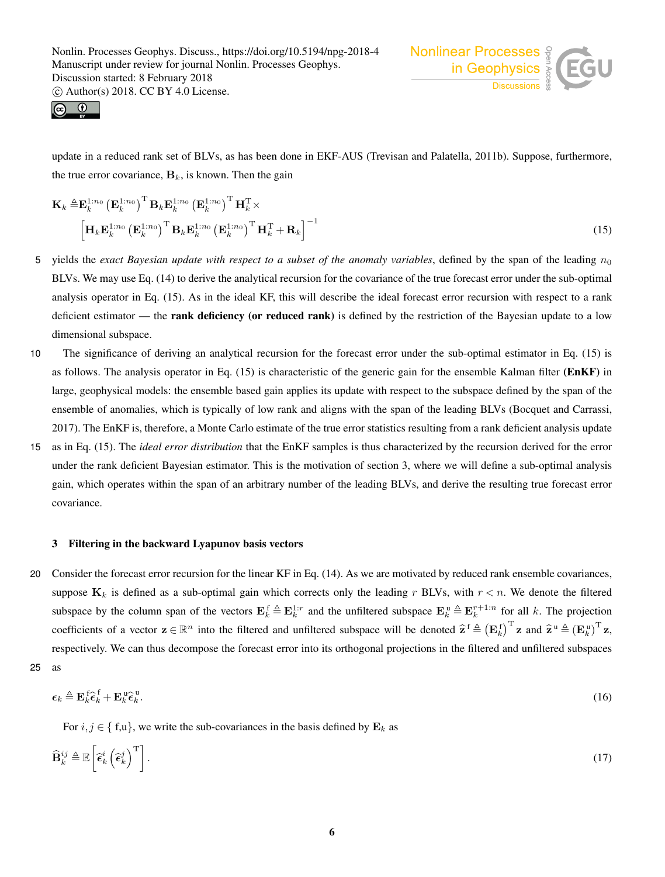



update in a reduced rank set of BLVs, as has been done in EKF-AUS (Trevisan and Palatella, 2011b). Suppose, furthermore, the true error covariance,  $B_k$ , is known. Then the gain

$$
\mathbf{K}_{k} \triangleq \mathbf{E}_{k}^{1:n_{0}} \left(\mathbf{E}_{k}^{1:n_{0}}\right)^{\mathrm{T}} \mathbf{B}_{k} \mathbf{E}_{k}^{1:n_{0}} \left(\mathbf{E}_{k}^{1:n_{0}}\right)^{\mathrm{T}} \mathbf{H}_{k}^{\mathrm{T}} \times \left[\mathbf{H}_{k} \mathbf{E}_{k}^{1:n_{0}} \left(\mathbf{E}_{k}^{1:n_{0}}\right)^{\mathrm{T}} \mathbf{B}_{k} \mathbf{E}_{k}^{1:n_{0}} \left(\mathbf{E}_{k}^{1:n_{0}}\right)^{\mathrm{T}} \mathbf{H}_{k}^{\mathrm{T}} + \mathbf{R}_{k}\right]^{-1}
$$
\n(15)

- 5 yields the *exact Bayesian update with respect to a subset of the anomaly variables*, defined by the span of the leading  $n_0$ BLVs. We may use Eq. (14) to derive the analytical recursion for the covariance of the true forecast error under the sub-optimal analysis operator in Eq. (15). As in the ideal KF, this will describe the ideal forecast error recursion with respect to a rank deficient estimator — the **rank deficiency (or reduced rank)** is defined by the restriction of the Bayesian update to a low dimensional subspace.
- 10 The significance of deriving an analytical recursion for the forecast error under the sub-optimal estimator in Eq. (15) is as follows. The analysis operator in Eq. (15) is characteristic of the generic gain for the ensemble Kalman filter (EnKF) in large, geophysical models: the ensemble based gain applies its update with respect to the subspace defined by the span of the ensemble of anomalies, which is typically of low rank and aligns with the span of the leading BLVs (Bocquet and Carrassi, 2017). The EnKF is, therefore, a Monte Carlo estimate of the true error statistics resulting from a rank deficient analysis update
- 15 as in Eq. (15). The *ideal error distribution* that the EnKF samples is thus characterized by the recursion derived for the error under the rank deficient Bayesian estimator. This is the motivation of section 3, where we will define a sub-optimal analysis gain, which operates within the span of an arbitrary number of the leading BLVs, and derive the resulting true forecast error covariance.

#### 3 Filtering in the backward Lyapunov basis vectors

20 Consider the forecast error recursion for the linear KF in Eq. (14). As we are motivated by reduced rank ensemble covariances, suppose  $K_k$  is defined as a sub-optimal gain which corrects only the leading r BLVs, with  $r < n$ . We denote the filtered subspace by the column span of the vectors  $\mathbf{E}_k^{\text{f}} \triangleq \mathbf{E}_k^{1:r}$  and the unfiltered subspace  $\mathbf{E}_k^{\text{u}} \triangleq \mathbf{E}_k^{r+1:n}$  for all k. The projection coefficients of a vector  $\mathbf{z} \in \mathbb{R}^n$  into the filtered and unfiltered subspace will be denoted  $\hat{\mathbf{z}}^f \triangleq (\mathbf{E}_k^f)^T \mathbf{z}$  and  $\hat{\mathbf{z}}^u \triangleq (\mathbf{E}_k^u)^T \mathbf{z}$ , respectively. We can thus decompose the forecast error into its orthogonal projections in the filtered and unfiltered subspaces 25 as

$$
\epsilon_k \triangleq \mathbf{E}_k^{\text{f}} \widehat{\epsilon}_k^{\text{f}} + \mathbf{E}_k^{\text{u}} \widehat{\epsilon}_k^{\text{u}}.
$$
 (16)

For  $i, j \in \{f, u\}$ , we write the sub-covariances in the basis defined by  $\mathbf{E}_k$  as

$$
\widehat{\mathbf{B}}_k^{ij} \triangleq \mathbb{E}\left[\widehat{\epsilon}_k^i \left(\widehat{\epsilon}_k^j\right)^{\mathrm{T}}\right].\tag{17}
$$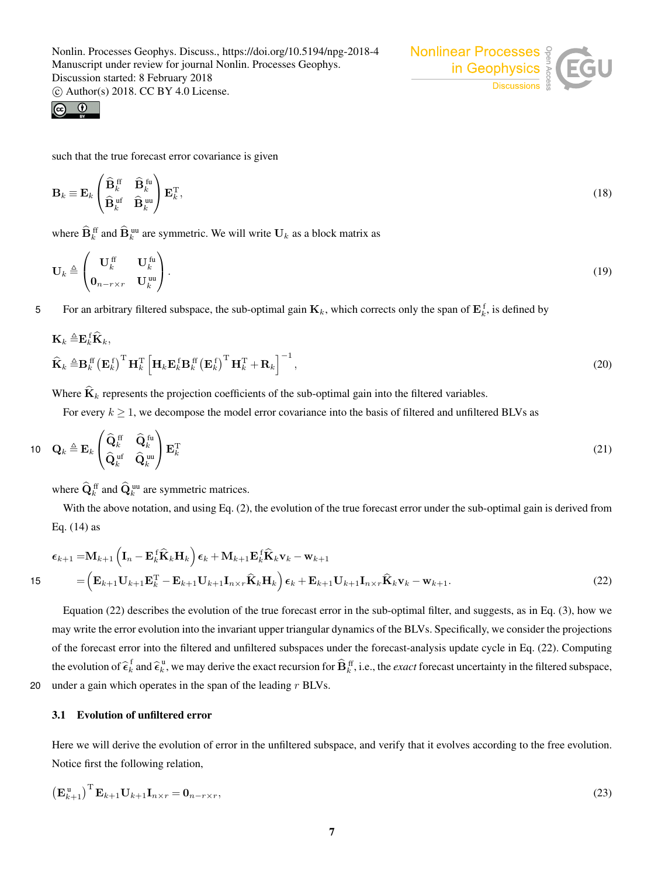

$$
\begin{array}{ccc}\n\textcircled{0} & \textcircled{1} & \textcircled{1} \\
\textcircled{0} & \textcircled{1} & \textcircled{1}\n\end{array}
$$

such that the true forecast error covariance is given

$$
\mathbf{B}_k \equiv \mathbf{E}_k \begin{pmatrix} \widehat{\mathbf{B}}_k^{\text{ ff}} & \widehat{\mathbf{B}}_k^{\text{ fu}} \\ \widehat{\mathbf{B}}_k^{\text{ uf}} & \widehat{\mathbf{B}}_k^{\text{ uu}} \end{pmatrix} \mathbf{E}_k^{\text{T}},\tag{18}
$$

where  $\mathbf{B}_k^{\text{ff}}$  and  $\mathbf{B}_k^{\text{uu}}$  are symmetric. We will write  $\mathbf{U}_k$  as a block matrix as

$$
\mathbf{U}_k \triangleq \begin{pmatrix} \mathbf{U}_k^{\text{ff}} & \mathbf{U}_k^{\text{fu}} \\ \mathbf{0}_{n-r \times r} & \mathbf{U}_k^{\text{uu}} \end{pmatrix} . \tag{19}
$$

5 For an arbitrary filtered subspace, the sub-optimal gain  $\mathbf{K}_k$ , which corrects only the span of  $\mathbf{E}_k^f$ , is defined by

$$
\mathbf{K}_{k} \triangleq \mathbf{E}_{k}^{\text{f}} \mathbf{\widehat{K}}_{k},
$$
\n
$$
\widehat{\mathbf{K}}_{k} \triangleq \mathbf{B}_{k}^{\text{ff}} \left(\mathbf{E}_{k}^{\text{f}}\right)^{\text{T}} \mathbf{H}_{k}^{\text{T}} \left[\mathbf{H}_{k} \mathbf{E}_{k}^{\text{f}} \mathbf{B}_{k}^{\text{ff}} \left(\mathbf{E}_{k}^{\text{f}}\right)^{\text{T}} \mathbf{H}_{k}^{\text{T}} + \mathbf{R}_{k}\right]^{-1},
$$
\n(20)

Where  $\hat{\mathbf{K}}_k$  represents the projection coefficients of the sub-optimal gain into the filtered variables.

For every  $k \geq 1$ , we decompose the model error covariance into the basis of filtered and unfiltered BLVs as

$$
10 \t\mathbf{Q}_k \triangleq \mathbf{E}_k \begin{pmatrix} \widehat{\mathbf{Q}}_k^{\text{ ff}} & \widehat{\mathbf{Q}}_k^{\text{ fu}} \\ \widehat{\mathbf{Q}}_k^{\text{ ut}} & \widehat{\mathbf{Q}}_k^{\text{ uu}} \end{pmatrix} \mathbf{E}_k^{\text{T}} \tag{21}
$$

where  $\mathbf{Q}_k^{\text{ff}}$  and  $\mathbf{Q}_k^{\text{uu}}$  are symmetric matrices.

With the above notation, and using Eq. (2), the evolution of the true forecast error under the sub-optimal gain is derived from Eq. (14) as

$$
\epsilon_{k+1} = \mathbf{M}_{k+1} \left( \mathbf{I}_n - \mathbf{E}_k^f \hat{\mathbf{K}}_k \mathbf{H}_k \right) \epsilon_k + \mathbf{M}_{k+1} \mathbf{E}_k^f \hat{\mathbf{K}}_k \mathbf{v}_k - \mathbf{w}_{k+1}
$$
  
15 
$$
= \left( \mathbf{E}_{k+1} \mathbf{U}_{k+1} \mathbf{E}_k^T - \mathbf{E}_{k+1} \mathbf{U}_{k+1} \mathbf{I}_{n \times r} \hat{\mathbf{K}}_k \mathbf{H}_k \right) \epsilon_k + \mathbf{E}_{k+1} \mathbf{U}_{k+1} \mathbf{I}_{n \times r} \hat{\mathbf{K}}_k \mathbf{v}_k - \mathbf{w}_{k+1}.
$$
 (22)

Equation (22) describes the evolution of the true forecast error in the sub-optimal filter, and suggests, as in Eq. (3), how we may write the error evolution into the invariant upper triangular dynamics of the BLVs. Specifically, we consider the projections of the forecast error into the filtered and unfiltered subspaces under the forecast-analysis update cycle in Eq. (22). Computing the evolution of  $\hat{\epsilon}_k^{\text{f}}$  and  $\hat{\epsilon}_k^{\text{u}}$ , we may derive the exact recursion for  $\hat{\mathbf{B}}_k^{\text{ff}}$ , i.e., the *exact* forecast uncertainty in the filtered subspace, 20 under a gain which operates in the span of the leading  $r$  BLVs.

# 3.1 Evolution of unfiltered error

Here we will derive the evolution of error in the unfiltered subspace, and verify that it evolves according to the free evolution. Notice first the following relation,

$$
\left(\mathbf{E}_{k+1}^{\mathrm{u}}\right)^{\mathrm{T}}\mathbf{E}_{k+1}\mathbf{U}_{k+1}\mathbf{I}_{n\times r}=\mathbf{0}_{n-r\times r},\tag{23}
$$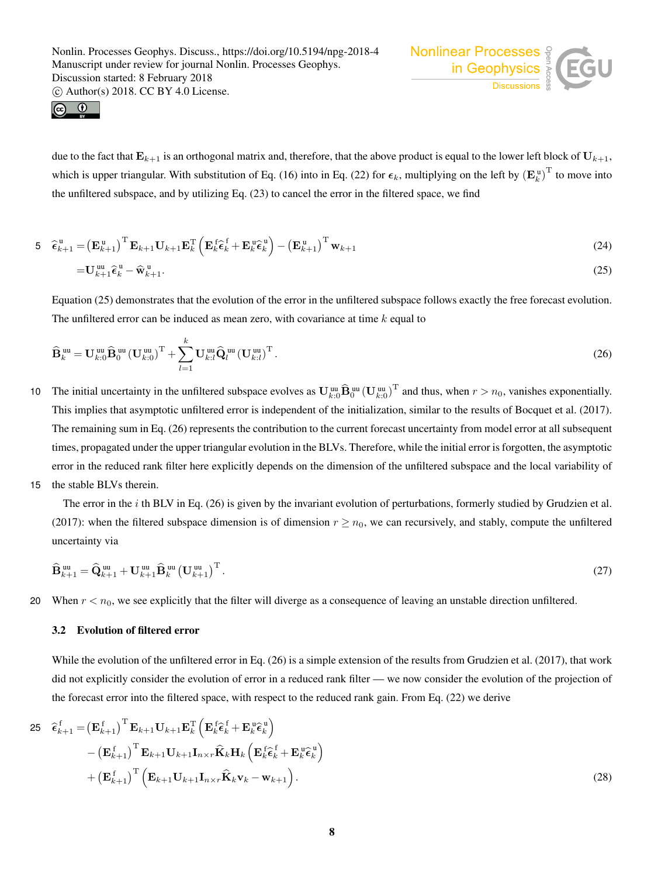



due to the fact that  $E_{k+1}$  is an orthogonal matrix and, therefore, that the above product is equal to the lower left block of  $U_{k+1}$ , which is upper triangular. With substitution of Eq. (16) into in Eq. (22) for  $\epsilon_k$ , multiplying on the left by  $(\mathbf{E}_k^{\mathrm{u}})^{\mathrm{T}}$  to move into the unfiltered subspace, and by utilizing Eq. (23) to cancel the error in the filtered space, we find

$$
\mathbf{5} \quad \widehat{\boldsymbol{\epsilon}}_{k+1}^{\mathrm{u}} = \left(\mathbf{E}_{k+1}^{\mathrm{u}}\right)^{\mathrm{T}} \mathbf{E}_{k+1} \mathbf{U}_{k+1} \mathbf{E}_{k}^{\mathrm{T}} \left(\mathbf{E}_{k}^{\mathrm{f}} \widehat{\boldsymbol{\epsilon}}_{k}^{\mathrm{f}} + \mathbf{E}_{k}^{\mathrm{u}} \widehat{\boldsymbol{\epsilon}}_{k}^{\mathrm{u}}\right) - \left(\mathbf{E}_{k+1}^{\mathrm{u}}\right)^{\mathrm{T}} \mathbf{w}_{k+1} \tag{24}
$$

$$
=\mathbf{U}_{k+1}^{\mathbf{u}\mathbf{u}}\widehat{\boldsymbol{\epsilon}}_k^{\mathbf{u}}-\widehat{\mathbf{w}}_{k+1}^{\mathbf{u}}.
$$

Equation (25) demonstrates that the evolution of the error in the unfiltered subspace follows exactly the free forecast evolution. The unfiltered error can be induced as mean zero, with covariance at time  $k$  equal to

$$
\widehat{\mathbf{B}}_k^{\text{uu}} = \mathbf{U}_{k:0}^{\text{uu}} \widehat{\mathbf{B}}_0^{\text{uu}} (\mathbf{U}_{k:0}^{\text{uu}})^{\text{T}} + \sum_{l=1}^k \mathbf{U}_{k:l}^{\text{uu}} \widehat{\mathbf{Q}}_l^{\text{uu}} (\mathbf{U}_{k:l}^{\text{uu}})^{\text{T}}.
$$
\n(26)

- 10 The initial uncertainty in the unfiltered subspace evolves as  $\mathbf{U}_{k:0}^{\text{uu}}\hat{\mathbf{B}}_0^{\text{uu}}(\mathbf{U}_{k:0}^{\text{uu}})^{\text{T}}$  and thus, when  $r > n_0$ , vanishes exponentially. This implies that asymptotic unfiltered error is independent of the initialization, similar to the results of Bocquet et al. (2017). The remaining sum in Eq. (26) represents the contribution to the current forecast uncertainty from model error at all subsequent times, propagated under the upper triangular evolution in the BLVs. Therefore, while the initial error is forgotten, the asymptotic error in the reduced rank filter here explicitly depends on the dimension of the unfiltered subspace and the local variability of
- 15 the stable BLVs therein.

The error in the  $i$  th BLV in Eq. (26) is given by the invariant evolution of perturbations, formerly studied by Grudzien et al. (2017): when the filtered subspace dimension is of dimension  $r \geq n_0$ , we can recursively, and stably, compute the unfiltered uncertainty via

$$
\widehat{\mathbf{B}}_{k+1}^{\text{uu}} = \widehat{\mathbf{Q}}_{k+1}^{\text{uu}} + \mathbf{U}_{k+1}^{\text{uu}} \widehat{\mathbf{B}}_k^{\text{uu}} \left( \mathbf{U}_{k+1}^{\text{uu}} \right)^{\text{T}}.
$$
\n(27)

20 When  $r < n_0$ , we see explicitly that the filter will diverge as a consequence of leaving an unstable direction unfiltered.

## 3.2 Evolution of filtered error

While the evolution of the unfiltered error in Eq. (26) is a simple extension of the results from Grudzien et al. (2017), that work did not explicitly consider the evolution of error in a reduced rank filter — we now consider the evolution of the projection of the forecast error into the filtered space, with respect to the reduced rank gain. From Eq. (22) we derive

$$
25 \quad \widehat{\boldsymbol{\epsilon}}_{k+1}^{\mathrm{f}} = \left(\mathbf{E}_{k+1}^{\mathrm{f}}\right)^{\mathrm{T}} \mathbf{E}_{k+1} \mathbf{U}_{k+1} \mathbf{E}_{k}^{\mathrm{T}} \left(\mathbf{E}_{k}^{\mathrm{f}} \widehat{\boldsymbol{\epsilon}}_{k}^{\mathrm{f}} + \mathbf{E}_{k}^{\mathrm{u}} \widehat{\boldsymbol{\epsilon}}_{k}^{\mathrm{u}}\right) - \left(\mathbf{E}_{k+1}^{\mathrm{f}}\right)^{\mathrm{T}} \mathbf{E}_{k+1} \mathbf{U}_{k+1} \mathbf{I}_{n \times r} \widehat{\mathbf{K}}_{k} \mathbf{H}_{k} \left(\mathbf{E}_{k}^{\mathrm{f}} \widehat{\boldsymbol{\epsilon}}_{k}^{\mathrm{f}} + \mathbf{E}_{k}^{\mathrm{u}} \widehat{\boldsymbol{\epsilon}}_{k}^{\mathrm{u}}\right) + \left(\mathbf{E}_{k+1}^{\mathrm{f}}\right)^{\mathrm{T}} \left(\mathbf{E}_{k+1} \mathbf{U}_{k+1} \mathbf{I}_{n \times r} \widehat{\mathbf{K}}_{k} \mathbf{v}_{k} - \mathbf{w}_{k+1}\right).
$$
\n(28)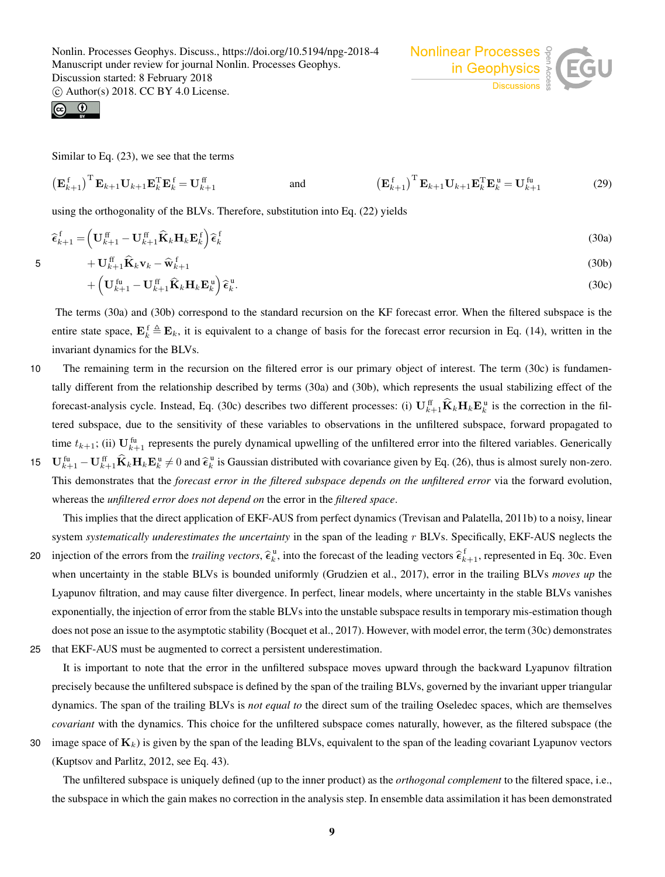$\odot$ 

Similar to Eq. (23), we see that the terms

$$
\left(\mathbf{E}_{k+1}^{\text{f}}\right)^{\text{T}}\mathbf{E}_{k+1}\mathbf{U}_{k+1}\mathbf{E}_{k}^{\text{T}}\mathbf{E}_{k}^{\text{f}}=\mathbf{U}_{k+1}^{\text{ff}}\qquad\text{and}\qquad\qquad\left(\mathbf{E}_{k+1}^{\text{f}}\right)^{\text{T}}\mathbf{E}_{k+1}\mathbf{U}_{k+1}\mathbf{E}_{k}^{\text{T}}\mathbf{E}_{k}^{\text{u}}=\mathbf{U}_{k+1}^{\text{fu}}\qquad(29)
$$

using the orthogonality of the BLVs. Therefore, substitution into Eq. (22) yields

$$
\widehat{\boldsymbol{\epsilon}}_{k+1}^{\text{f}} = \left(\mathbf{U}_{k+1}^{\text{ff}} - \mathbf{U}_{k+1}^{\text{ff}} \widehat{\mathbf{K}}_k \mathbf{H}_k \mathbf{E}_k^{\text{f}}\right) \widehat{\boldsymbol{\epsilon}}_k^{\text{f}} \tag{30a}
$$

$$
5 \qquad \qquad + \mathbf{U}_{k+1}^{\text{ff}} \widehat{\mathbf{K}}_k \mathbf{v}_k - \widehat{\mathbf{w}}_{k+1}^{\text{f}} \tag{30b}
$$

$$
+\left(\mathbf{U}_{k+1}^{\text{fu}}-\mathbf{U}_{k+1}^{\text{ff}}\widehat{\mathbf{K}}_{k}\mathbf{H}_{k}\mathbf{E}_{k}^{\text{u}}\right)\widehat{\boldsymbol{\epsilon}}_{k}^{\text{u}}.
$$
\n(30c)

The terms (30a) and (30b) correspond to the standard recursion on the KF forecast error. When the filtered subspace is the entire state space,  $E_k^f \triangleq E_k$ , it is equivalent to a change of basis for the forecast error recursion in Eq. (14), written in the invariant dynamics for the BLVs.

10 The remaining term in the recursion on the filtered error is our primary object of interest. The term (30c) is fundamentally different from the relationship described by terms (30a) and (30b), which represents the usual stabilizing effect of the forecast-analysis cycle. Instead, Eq. (30c) describes two different processes: (i)  $\mathbf{U}_{k+1}^{\text{ff}}\mathbf{K}_{k}\mathbf{H}_{k}\mathbf{E}_{k}^{\text{u}}$  is the correction in the filtered subspace, due to the sensitivity of these variables to observations in the unfiltered subspace, forward propagated to time  $t_{k+1}$ ; (ii)  $\mathbf{U}_{k+1}^{\text{fu}}$  represents the purely dynamical upwelling of the unfiltered error into the filtered variables. Generically 15  $\mathbf{U}_{k+1}^{\text{fu}} - \mathbf{U}_{k+1}^{\text{ff}} \hat{\mathbf{K}}_k \mathbf{H}_k \mathbf{E}_k^{\text{u}} \neq 0$  and  $\hat{\boldsymbol{\epsilon}}_k^{\text{u}}$  is Gaussian distributed with covariance given by Eq. (26), thus is almost surely non-zero. This demonstrates that the *forecast error in the filtered subspace depends on the unfiltered error* via the forward evolution,

whereas the *unfiltered error does not depend on* the error in the *filtered space*.

This implies that the direct application of EKF-AUS from perfect dynamics (Trevisan and Palatella, 2011b) to a noisy, linear system *systematically underestimates the uncertainty* in the span of the leading r BLVs. Specifically, EKF-AUS neglects the 20 injection of the errors from the *trailing vectors*,  $\hat{\epsilon}_k^{\mu}$ , into the forecast of the leading vectors  $\hat{\epsilon}_{k+1}^f$ , represented in Eq. 30c. Even when uncertainty in the stable BLVs is bounded uniformly (Grudzien et al., 2017), error in the trailing BLVs *moves up* the Lyapunov filtration, and may cause filter divergence. In perfect, linear models, where uncertainty in the stable BLVs vanishes exponentially, the injection of error from the stable BLVs into the unstable subspace results in temporary mis-estimation though

does not pose an issue to the asymptotic stability (Bocquet et al., 2017). However, with model error, the term (30c) demonstrates 25 that EKF-AUS must be augmented to correct a persistent underestimation.

It is important to note that the error in the unfiltered subspace moves upward through the backward Lyapunov filtration precisely because the unfiltered subspace is defined by the span of the trailing BLVs, governed by the invariant upper triangular dynamics. The span of the trailing BLVs is *not equal to* the direct sum of the trailing Oseledec spaces, which are themselves *covariant* with the dynamics. This choice for the unfiltered subspace comes naturally, however, as the filtered subspace (the

30 image space of  $K_k$ ) is given by the span of the leading BLVs, equivalent to the span of the leading covariant Lyapunov vectors (Kuptsov and Parlitz, 2012, see Eq. 43).

The unfiltered subspace is uniquely defined (up to the inner product) as the *orthogonal complement* to the filtered space, i.e., the subspace in which the gain makes no correction in the analysis step. In ensemble data assimilation it has been demonstrated

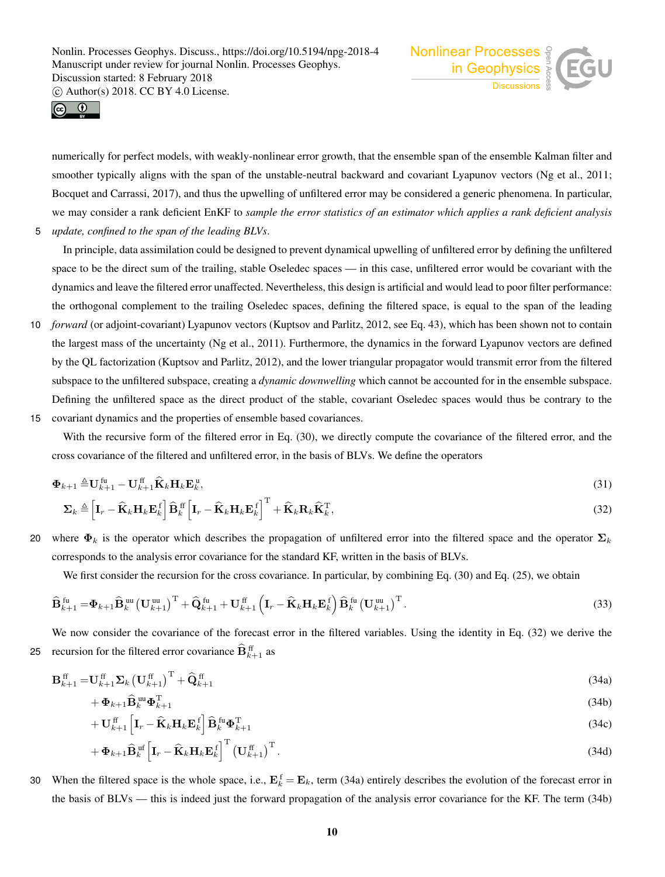



numerically for perfect models, with weakly-nonlinear error growth, that the ensemble span of the ensemble Kalman filter and smoother typically aligns with the span of the unstable-neutral backward and covariant Lyapunov vectors (Ng et al., 2011; Bocquet and Carrassi, 2017), and thus the upwelling of unfiltered error may be considered a generic phenomena. In particular, we may consider a rank deficient EnKF to *sample the error statistics of an estimator which applies a rank deficient analysis* 5 *update, confined to the span of the leading BLVs*.

In principle, data assimilation could be designed to prevent dynamical upwelling of unfiltered error by defining the unfiltered space to be the direct sum of the trailing, stable Oseledec spaces — in this case, unfiltered error would be covariant with the dynamics and leave the filtered error unaffected. Nevertheless, this design is artificial and would lead to poor filter performance: the orthogonal complement to the trailing Oseledec spaces, defining the filtered space, is equal to the span of the leading

- 10 *forward* (or adjoint-covariant) Lyapunov vectors (Kuptsov and Parlitz, 2012, see Eq. 43), which has been shown not to contain the largest mass of the uncertainty (Ng et al., 2011). Furthermore, the dynamics in the forward Lyapunov vectors are defined by the QL factorization (Kuptsov and Parlitz, 2012), and the lower triangular propagator would transmit error from the filtered subspace to the unfiltered subspace, creating a *dynamic downwelling* which cannot be accounted for in the ensemble subspace. Defining the unfiltered space as the direct product of the stable, covariant Oseledec spaces would thus be contrary to the
- 15 covariant dynamics and the properties of ensemble based covariances.

With the recursive form of the filtered error in Eq. (30), we directly compute the covariance of the filtered error, and the cross covariance of the filtered and unfiltered error, in the basis of BLVs. We define the operators

$$
\mathbf{\Phi}_{k+1} \triangleq \mathbf{U}_{k+1}^{\text{fu}} - \mathbf{U}_{k+1}^{\text{ff}} \widehat{\mathbf{K}}_k \mathbf{H}_k \mathbf{E}_k^{\text{u}},\tag{31}
$$

$$
\Sigma_k \triangleq \left[ \mathbf{I}_r - \widehat{\mathbf{K}}_k \mathbf{H}_k \mathbf{E}_k^{\text{f}} \right] \widehat{\mathbf{B}}_k^{\text{ff}} \left[ \mathbf{I}_r - \widehat{\mathbf{K}}_k \mathbf{H}_k \mathbf{E}_k^{\text{f}} \right]^{\text{T}} + \widehat{\mathbf{K}}_k \mathbf{R}_k \widehat{\mathbf{K}}_k^{\text{T}},
$$
\n(32)

20 where  $\Phi_k$  is the operator which describes the propagation of unfiltered error into the filtered space and the operator  $\Sigma_k$ corresponds to the analysis error covariance for the standard KF, written in the basis of BLVs.

We first consider the recursion for the cross covariance. In particular, by combining Eq. (30) and Eq. (25), we obtain

$$
\widehat{\mathbf{B}}_{k+1}^{\text{fu}} = \mathbf{\Phi}_{k+1} \widehat{\mathbf{B}}_k^{\text{uu}} \left( \mathbf{U}_{k+1}^{\text{uu}} \right)^{\text{T}} + \widehat{\mathbf{Q}}_{k+1}^{\text{fu}} + \mathbf{U}_{k+1}^{\text{ff}} \left( \mathbf{I}_r - \widehat{\mathbf{K}}_k \mathbf{H}_k \mathbf{E}_k^{\text{f}} \right) \widehat{\mathbf{B}}_k^{\text{fu}} \left( \mathbf{U}_{k+1}^{\text{uu}} \right)^{\text{T}} . \tag{33}
$$

We now consider the covariance of the forecast error in the filtered variables. Using the identity in Eq. (32) we derive the 25 recursion for the filtered error covariance  $\widehat{\mathbf{B}}_{k+1}^{\text{ff}}$  as

$$
\mathbf{B}_{k+1}^{\text{ff}} = \mathbf{U}_{k+1}^{\text{ff}} \mathbf{\Sigma}_k \left(\mathbf{U}_{k+1}^{\text{ff}}\right)^{\text{T}} + \widehat{\mathbf{Q}}_{k+1}^{\text{ff}} \tag{34a}
$$

$$
+\boldsymbol{\Phi}_{k+1}\widehat{\mathbf{B}}_{k}^{\text{uu}}\boldsymbol{\Phi}_{k+1}^{\text{T}}\tag{34b}
$$

$$
+\mathbf{U}_{k+1}^{\text{ff}}\left[\mathbf{I}_{r}-\widehat{\mathbf{K}}_{k}\mathbf{H}_{k}\mathbf{E}_{k}^{\text{f}}\right]\widehat{\mathbf{B}}_{k}^{\text{fu}}\boldsymbol{\Phi}_{k+1}^{\text{T}} \tag{34c}
$$

$$
+\boldsymbol{\Phi}_{k+1}\widehat{\mathbf{B}}_{k}^{\text{uf}}\left[\mathbf{I}_{r}-\widehat{\mathbf{K}}_{k}\mathbf{H}_{k}\mathbf{E}_{k}^{\text{f}}\right]^{\text{T}}\left(\mathbf{U}_{k+1}^{\text{ff}}\right)^{\text{T}}.
$$
\n(34d)

30 When the filtered space is the whole space, i.e.,  $\mathbf{E}_k^f = \mathbf{E}_k$ , term (34a) entirely describes the evolution of the forecast error in the basis of BLVs — this is indeed just the forward propagation of the analysis error covariance for the KF. The term (34b)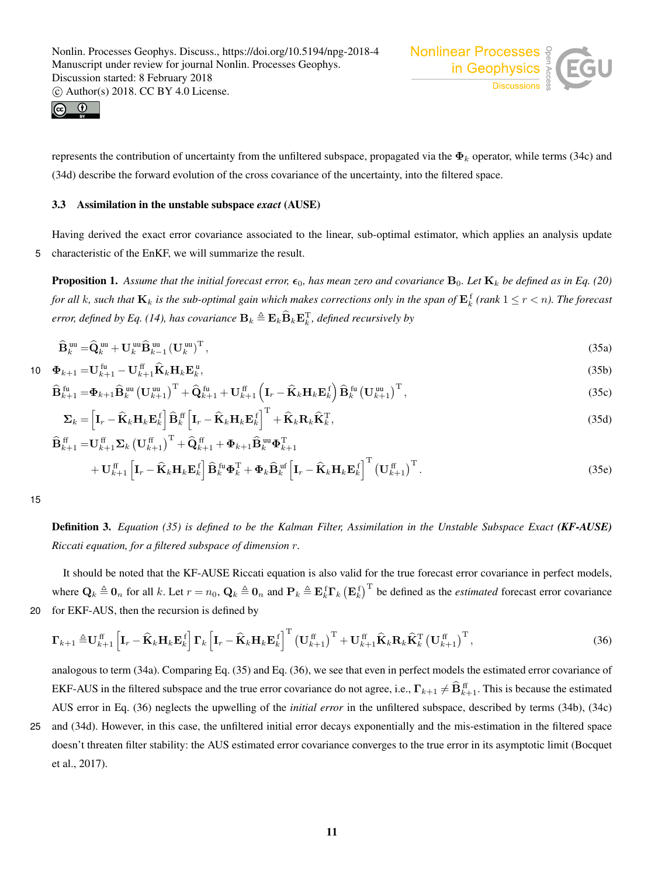



represents the contribution of uncertainty from the unfiltered subspace, propagated via the  $\Phi_k$  operator, while terms (34c) and (34d) describe the forward evolution of the cross covariance of the uncertainty, into the filtered space.

## 3.3 Assimilation in the unstable subspace *exact* (AUSE)

Having derived the exact error covariance associated to the linear, sub-optimal estimator, which applies an analysis update 5 characteristic of the EnKF, we will summarize the result.

**Proposition 1.** Assume that the initial forecast error,  $\epsilon_0$ , has mean zero and covariance  $B_0$ . Let  $K_k$  be defined as in Eq. (20) *for all k, such that*  $K_k$  *is the sub-optimal gain which makes corrections only in the span of*  $E_k^f$  *(rank*  $1 \le r < n$ *). The forecast* error, defined by Eq. (14), has covariance  $\mathbf{B}_k \triangleq \mathbf{E}_k \mathbf{B}_k \mathbf{E}_k^{\mathrm{T}}$ , defined recursively by

$$
\widehat{\mathbf{B}}_k^{\text{uu}} = \widehat{\mathbf{Q}}_k^{\text{uu}} + \mathbf{U}_k^{\text{uu}} \widehat{\mathbf{B}}_{k-1}^{\text{uu}} \left( \mathbf{U}_k^{\text{uu}} \right)^{\text{T}},\tag{35a}
$$

$$
\mathbf{10} \quad \mathbf{\Phi}_{k+1} = \mathbf{U}_{k+1}^{\text{fu}} - \mathbf{U}_{k+1}^{\text{ff}} \widehat{\mathbf{K}}_k \mathbf{H}_k \mathbf{E}_k^{\text{u}},\tag{35b}
$$

$$
\widehat{\mathbf{B}}_{k+1}^{\text{fu}} = \mathbf{\Phi}_{k+1} \widehat{\mathbf{B}}_k^{\text{uu}} \left( \mathbf{U}_{k+1}^{\text{uu}} \right)^{\text{T}} + \widehat{\mathbf{Q}}_{k+1}^{\text{fu}} + \mathbf{U}_{k+1}^{\text{ff}} \left( \mathbf{I}_r - \widehat{\mathbf{K}}_k \mathbf{H}_k \mathbf{E}_k^{\text{f}} \right) \widehat{\mathbf{B}}_k^{\text{fu}} \left( \mathbf{U}_{k+1}^{\text{uu}} \right)^{\text{T}}, \tag{35c}
$$

$$
\Sigma_k = \left[\mathbf{I}_r - \widehat{\mathbf{K}}_k \mathbf{H}_k \mathbf{E}_k^{\text{f}}\right] \widehat{\mathbf{B}}_k^{\text{ff}} \left[\mathbf{I}_r - \widehat{\mathbf{K}}_k \mathbf{H}_k \mathbf{E}_k^{\text{f}}\right]^{\text{T}} + \widehat{\mathbf{K}}_k \mathbf{R}_k \widehat{\mathbf{K}}_k^{\text{T}},\tag{35d}
$$

$$
\widehat{\mathbf{B}}_{k+1}^{\text{ff}} = \mathbf{U}_{k+1}^{\text{ff}} \boldsymbol{\Sigma}_k \left( \mathbf{U}_{k+1}^{\text{ff}} \right)^{\text{T}} + \widehat{\mathbf{Q}}_{k+1}^{\text{ff}} + \boldsymbol{\Phi}_{k+1} \widehat{\mathbf{B}}_k^{\text{uu}} \boldsymbol{\Phi}_{k+1}^{\text{T}} + \boldsymbol{\Phi}_{k+1} \widehat{\mathbf{B}}_k^{\text{uu}} \boldsymbol{\Phi}_{k+1}^{\text{T}} + \boldsymbol{\Phi}_{k+1} \widehat{\mathbf{B}}_k^{\text{uu}} \boldsymbol{\Phi}_{k+1}^{\text{T}} \left( \mathbf{I}_r - \widehat{\mathbf{K}}_k \mathbf{H}_k \mathbf{E}_k^{\text{f}} \right)^{\text{T}} \left( \mathbf{U}_{k+1}^{\text{ff}} \right)^{\text{T}}. \tag{35e}
$$

15

Definition 3. *Equation (35) is defined to be the Kalman Filter, Assimilation in the Unstable Subspace Exact (KF-AUSE) Riccati equation, for a filtered subspace of dimension* r*.*

It should be noted that the KF-AUSE Riccati equation is also valid for the true forecast error covariance in perfect models, where  $\mathbf{Q}_k \triangleq \mathbf{0}_n$  for all k. Let  $r = n_0$ ,  $\mathbf{Q}_k \triangleq \mathbf{0}_n$  and  $\mathbf{P}_k \triangleq \mathbf{E}_k^f \mathbf{\Gamma}_k (\mathbf{E}_k^f)^{\text{T}}$  be defined as the *estimated* forecast error covariance 20 for EKF-AUS, then the recursion is defined by

$$
\boldsymbol{\Gamma}_{k+1} \triangleq \mathbf{U}_{k+1}^{\text{ff}} \left[ \mathbf{I}_r - \widehat{\mathbf{K}}_k \mathbf{H}_k \mathbf{E}_k^{\text{f}} \right] \boldsymbol{\Gamma}_k \left[ \mathbf{I}_r - \widehat{\mathbf{K}}_k \mathbf{H}_k \mathbf{E}_k^{\text{f}} \right]^{\text{T}} \left( \mathbf{U}_{k+1}^{\text{ff}} \right)^{\text{T}} + \mathbf{U}_{k+1}^{\text{ff}} \widehat{\mathbf{K}}_k \mathbf{R}_k \widehat{\mathbf{K}}_k^{\text{T}} \left( \mathbf{U}_{k+1}^{\text{ff}} \right)^{\text{T}}, \tag{36}
$$

analogous to term (34a). Comparing Eq. (35) and Eq. (36), we see that even in perfect models the estimated error covariance of EKF-AUS in the filtered subspace and the true error covariance do not agree, i.e.,  $\Gamma_{k+1} \neq \hat{B}_{k+1}^{\text{ff}}$ . This is because the estimated AUS error in Eq. (36) neglects the upwelling of the *initial error* in the unfiltered subspace, described by terms (34b), (34c)

25 and (34d). However, in this case, the unfiltered initial error decays exponentially and the mis-estimation in the filtered space doesn't threaten filter stability: the AUS estimated error covariance converges to the true error in its asymptotic limit (Bocquet et al., 2017).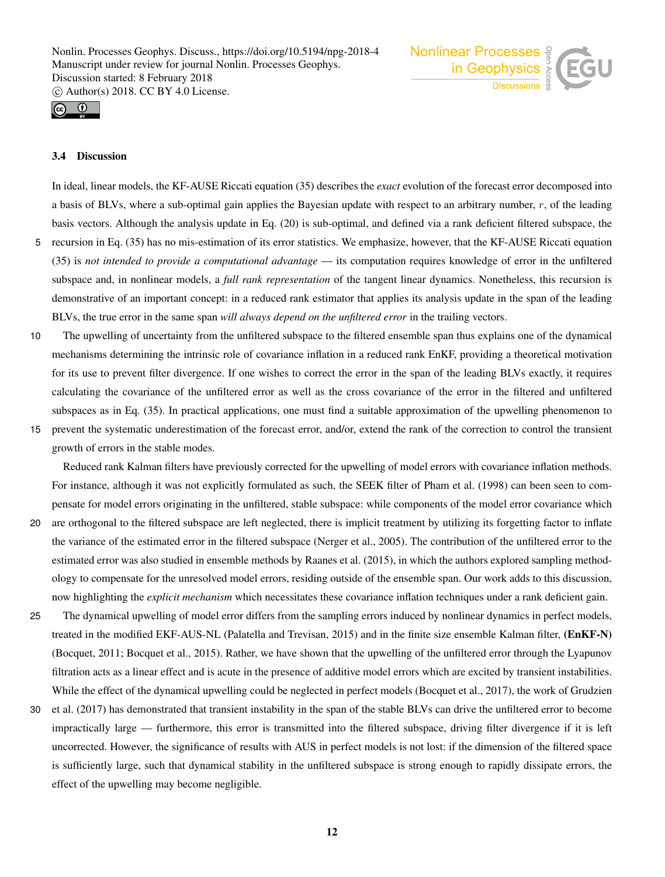



# 3.4 Discussion

In ideal, linear models, the KF-AUSE Riccati equation (35) describes the *exact* evolution of the forecast error decomposed into a basis of BLVs, where a sub-optimal gain applies the Bayesian update with respect to an arbitrary number, r, of the leading basis vectors. Although the analysis update in Eq. (20) is sub-optimal, and defined via a rank deficient filtered subspace, the 5 recursion in Eq. (35) has no mis-estimation of its error statistics. We emphasize, however, that the KF-AUSE Riccati equation

- (35) is *not intended to provide a computational advantage* its computation requires knowledge of error in the unfiltered subspace and, in nonlinear models, a *full rank representation* of the tangent linear dynamics. Nonetheless, this recursion is demonstrative of an important concept: in a reduced rank estimator that applies its analysis update in the span of the leading BLVs, the true error in the same span *will always depend on the unfiltered error* in the trailing vectors.
- 10 The upwelling of uncertainty from the unfiltered subspace to the filtered ensemble span thus explains one of the dynamical mechanisms determining the intrinsic role of covariance inflation in a reduced rank EnKF, providing a theoretical motivation for its use to prevent filter divergence. If one wishes to correct the error in the span of the leading BLVs exactly, it requires calculating the covariance of the unfiltered error as well as the cross covariance of the error in the filtered and unfiltered subspaces as in Eq. (35). In practical applications, one must find a suitable approximation of the upwelling phenomenon to
- 15 prevent the systematic underestimation of the forecast error, and/or, extend the rank of the correction to control the transient growth of errors in the stable modes.

Reduced rank Kalman filters have previously corrected for the upwelling of model errors with covariance inflation methods. For instance, although it was not explicitly formulated as such, the SEEK filter of Pham et al. (1998) can been seen to compensate for model errors originating in the unfiltered, stable subspace: while components of the model error covariance which

- 20 are orthogonal to the filtered subspace are left neglected, there is implicit treatment by utilizing its forgetting factor to inflate the variance of the estimated error in the filtered subspace (Nerger et al., 2005). The contribution of the unfiltered error to the estimated error was also studied in ensemble methods by Raanes et al. (2015), in which the authors explored sampling methodology to compensate for the unresolved model errors, residing outside of the ensemble span. Our work adds to this discussion, now highlighting the *explicit mechanism* which necessitates these covariance inflation techniques under a rank deficient gain.
- 25 The dynamical upwelling of model error differs from the sampling errors induced by nonlinear dynamics in perfect models, treated in the modified EKF-AUS-NL (Palatella and Trevisan, 2015) and in the finite size ensemble Kalman filter, (EnKF-N) (Bocquet, 2011; Bocquet et al., 2015). Rather, we have shown that the upwelling of the unfiltered error through the Lyapunov filtration acts as a linear effect and is acute in the presence of additive model errors which are excited by transient instabilities. While the effect of the dynamical upwelling could be neglected in perfect models (Bocquet et al., 2017), the work of Grudzien
- 30 et al. (2017) has demonstrated that transient instability in the span of the stable BLVs can drive the unfiltered error to become impractically large — furthermore, this error is transmitted into the filtered subspace, driving filter divergence if it is left uncorrected. However, the significance of results with AUS in perfect models is not lost: if the dimension of the filtered space is sufficiently large, such that dynamical stability in the unfiltered subspace is strong enough to rapidly dissipate errors, the effect of the upwelling may become negligible.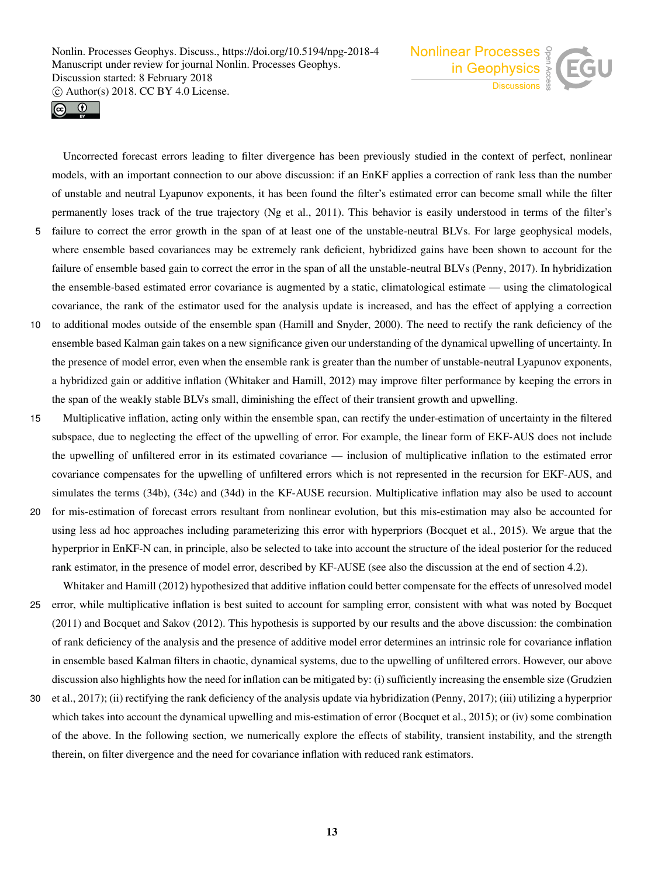



Uncorrected forecast errors leading to filter divergence has been previously studied in the context of perfect, nonlinear models, with an important connection to our above discussion: if an EnKF applies a correction of rank less than the number of unstable and neutral Lyapunov exponents, it has been found the filter's estimated error can become small while the filter permanently loses track of the true trajectory (Ng et al., 2011). This behavior is easily understood in terms of the filter's 5 failure to correct the error growth in the span of at least one of the unstable-neutral BLVs. For large geophysical models,

- where ensemble based covariances may be extremely rank deficient, hybridized gains have been shown to account for the failure of ensemble based gain to correct the error in the span of all the unstable-neutral BLVs (Penny, 2017). In hybridization the ensemble-based estimated error covariance is augmented by a static, climatological estimate — using the climatological covariance, the rank of the estimator used for the analysis update is increased, and has the effect of applying a correction
- 10 to additional modes outside of the ensemble span (Hamill and Snyder, 2000). The need to rectify the rank deficiency of the ensemble based Kalman gain takes on a new significance given our understanding of the dynamical upwelling of uncertainty. In the presence of model error, even when the ensemble rank is greater than the number of unstable-neutral Lyapunov exponents, a hybridized gain or additive inflation (Whitaker and Hamill, 2012) may improve filter performance by keeping the errors in the span of the weakly stable BLVs small, diminishing the effect of their transient growth and upwelling.
- 15 Multiplicative inflation, acting only within the ensemble span, can rectify the under-estimation of uncertainty in the filtered subspace, due to neglecting the effect of the upwelling of error. For example, the linear form of EKF-AUS does not include the upwelling of unfiltered error in its estimated covariance — inclusion of multiplicative inflation to the estimated error covariance compensates for the upwelling of unfiltered errors which is not represented in the recursion for EKF-AUS, and simulates the terms (34b), (34c) and (34d) in the KF-AUSE recursion. Multiplicative inflation may also be used to account
- 20 for mis-estimation of forecast errors resultant from nonlinear evolution, but this mis-estimation may also be accounted for using less ad hoc approaches including parameterizing this error with hyperpriors (Bocquet et al., 2015). We argue that the hyperprior in EnKF-N can, in principle, also be selected to take into account the structure of the ideal posterior for the reduced rank estimator, in the presence of model error, described by KF-AUSE (see also the discussion at the end of section 4.2). Whitaker and Hamill (2012) hypothesized that additive inflation could better compensate for the effects of unresolved model
- 25 error, while multiplicative inflation is best suited to account for sampling error, consistent with what was noted by Bocquet (2011) and Bocquet and Sakov (2012). This hypothesis is supported by our results and the above discussion: the combination of rank deficiency of the analysis and the presence of additive model error determines an intrinsic role for covariance inflation in ensemble based Kalman filters in chaotic, dynamical systems, due to the upwelling of unfiltered errors. However, our above discussion also highlights how the need for inflation can be mitigated by: (i) sufficiently increasing the ensemble size (Grudzien
- 30 et al., 2017); (ii) rectifying the rank deficiency of the analysis update via hybridization (Penny, 2017); (iii) utilizing a hyperprior which takes into account the dynamical upwelling and mis-estimation of error (Bocquet et al., 2015); or (iv) some combination of the above. In the following section, we numerically explore the effects of stability, transient instability, and the strength therein, on filter divergence and the need for covariance inflation with reduced rank estimators.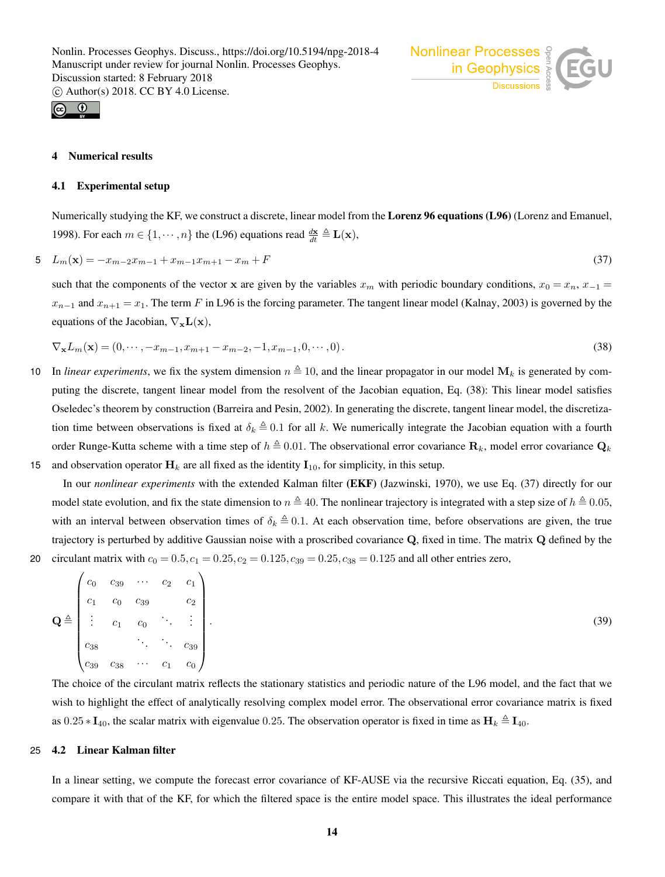

#### **Numerical results**

#### 4.1 Experimental setup

Numerically studying the KF, we construct a discrete, linear model from the Lorenz 96 equations (L96) (Lorenz and Emanuel, 1998). For each  $m \in \{1, \dots, n\}$  the (L96) equations read  $\frac{d\mathbf{x}}{dt} \triangleq \mathbf{L}(\mathbf{x})$ ,

Nonlinear Processes

$$
5 \quad L_m(\mathbf{x}) = -x_{m-2}x_{m-1} + x_{m-1}x_{m+1} - x_m + F \tag{37}
$$

such that the components of the vector x are given by the variables  $x_m$  with periodic boundary conditions,  $x_0 = x_n$ ,  $x_{-1} =$  $x_{n-1}$  and  $x_{n+1} = x_1$ . The term F in L96 is the forcing parameter. The tangent linear model (Kalnay, 2003) is governed by the equations of the Jacobian,  $\nabla_{\mathbf{x}}\mathbf{L}(\mathbf{x})$ ,

$$
\nabla_{\mathbf{x}} L_m(\mathbf{x}) = (0, \cdots, -x_{m-1}, x_{m+1} - x_{m-2}, -1, x_{m-1}, 0, \cdots, 0). \tag{38}
$$

- 10 In *linear experiments*, we fix the system dimension  $n \triangleq 10$ , and the linear propagator in our model  $M_k$  is generated by computing the discrete, tangent linear model from the resolvent of the Jacobian equation, Eq. (38): This linear model satisfies Oseledec's theorem by construction (Barreira and Pesin, 2002). In generating the discrete, tangent linear model, the discretization time between observations is fixed at  $\delta_k \triangleq 0.1$  for all k. We numerically integrate the Jacobian equation with a fourth order Runge-Kutta scheme with a time step of  $h \triangleq 0.01$ . The observational error covariance  $\mathbf{R}_k$ , model error covariance  $\mathbf{Q}_k$
- 15 and observation operator  $H_k$  are all fixed as the identity  $I_{10}$ , for simplicity, in this setup.

In our *nonlinear experiments* with the extended Kalman filter (EKF) (Jazwinski, 1970), we use Eq. (37) directly for our model state evolution, and fix the state dimension to  $n \triangleq 40$ . The nonlinear trajectory is integrated with a step size of  $h \triangleq 0.05$ , with an interval between observation times of  $\delta_k \triangleq 0.1$ . At each observation time, before observations are given, the true trajectory is perturbed by additive Gaussian noise with a proscribed covariance Q, fixed in time. The matrix Q defined by the 20 circulant matrix with  $c_0 = 0.5, c_1 = 0.25, c_2 = 0.125, c_{39} = 0.25, c_{38} = 0.125$  and all other entries zero,

$$
\mathbf{Q} \triangleq \begin{pmatrix} c_0 & c_{39} & \cdots & c_2 & c_1 \\ c_1 & c_0 & c_{39} & & c_2 \\ \vdots & c_1 & c_0 & \ddots & \vdots \\ c_{38} & \ddots & \ddots & c_{39} \\ c_{39} & c_{38} & \cdots & c_1 & c_0 \end{pmatrix} . \tag{39}
$$

The choice of the circulant matrix reflects the stationary statistics and periodic nature of the L96 model, and the fact that we wish to highlight the effect of analytically resolving complex model error. The observational error covariance matrix is fixed as  $0.25 * I_{40}$ , the scalar matrix with eigenvalue 0.25. The observation operator is fixed in time as  $H_k \triangleq I_{40}$ .

# 25 4.2 Linear Kalman filter

In a linear setting, we compute the forecast error covariance of KF-AUSE via the recursive Riccati equation, Eq. (35), and compare it with that of the KF, for which the filtered space is the entire model space. This illustrates the ideal performance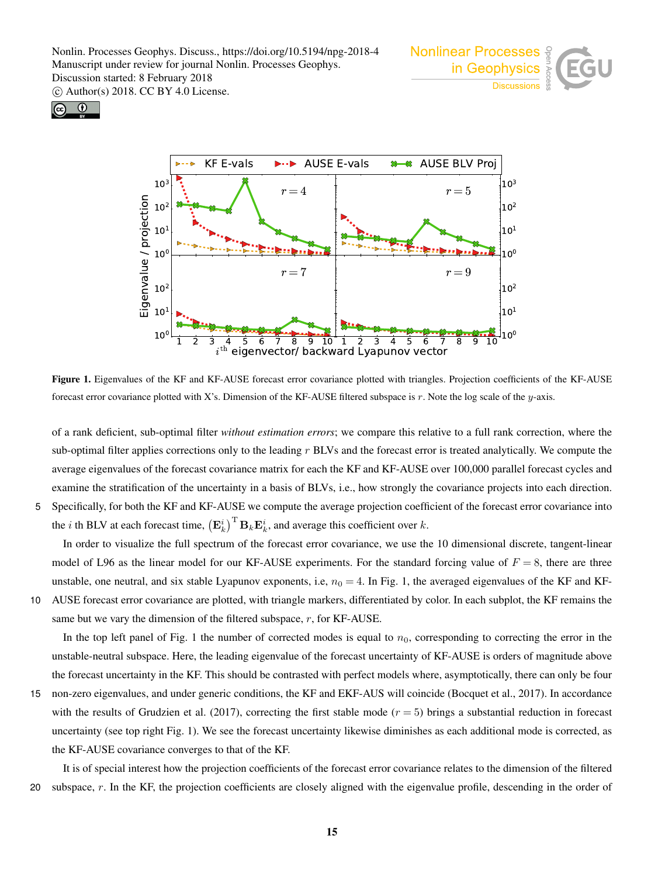Nonlin. Processes Geophys. Discuss., https://doi.org/10.5194/npg-2018-4 Manuscript under review for journal Nonlin. Processes Geophys. Discussion started: 8 February 2018

c Author(s) 2018. CC BY 4.0 License.







Figure 1. Eigenvalues of the KF and KF-AUSE forecast error covariance plotted with triangles. Projection coefficients of the KF-AUSE forecast error covariance plotted with X's. Dimension of the KF-AUSE filtered subspace is r. Note the log scale of the y-axis.

of a rank deficient, sub-optimal filter *without estimation errors*; we compare this relative to a full rank correction, where the sub-optimal filter applies corrections only to the leading  $r$  BLVs and the forecast error is treated analytically. We compute the average eigenvalues of the forecast covariance matrix for each the KF and KF-AUSE over 100,000 parallel forecast cycles and examine the stratification of the uncertainty in a basis of BLVs, i.e., how strongly the covariance projects into each direction. 5 Specifically, for both the KF and KF-AUSE we compute the average projection coefficient of the forecast error covariance into

the *i* th BLV at each forecast time,  $(\mathbf{E}_k^i)^{\text{T}} \mathbf{B}_k \mathbf{E}_k^i$ , and average this coefficient over *k*.

In order to visualize the full spectrum of the forecast error covariance, we use the 10 dimensional discrete, tangent-linear model of L96 as the linear model for our KF-AUSE experiments. For the standard forcing value of  $F = 8$ , there are three unstable, one neutral, and six stable Lyapunov exponents, i.e,  $n_0 = 4$ . In Fig. 1, the averaged eigenvalues of the KF and KF-10 AUSE forecast error covariance are plotted, with triangle markers, differentiated by color. In each subplot, the KF remains the

same but we vary the dimension of the filtered subspace, r, for KF-AUSE.

In the top left panel of Fig. 1 the number of corrected modes is equal to  $n_0$ , corresponding to correcting the error in the unstable-neutral subspace. Here, the leading eigenvalue of the forecast uncertainty of KF-AUSE is orders of magnitude above the forecast uncertainty in the KF. This should be contrasted with perfect models where, asymptotically, there can only be four

15 non-zero eigenvalues, and under generic conditions, the KF and EKF-AUS will coincide (Bocquet et al., 2017). In accordance with the results of Grudzien et al. (2017), correcting the first stable mode  $(r = 5)$  brings a substantial reduction in forecast uncertainty (see top right Fig. 1). We see the forecast uncertainty likewise diminishes as each additional mode is corrected, as the KF-AUSE covariance converges to that of the KF.

It is of special interest how the projection coefficients of the forecast error covariance relates to the dimension of the filtered 20 subspace,  $r$ . In the KF, the projection coefficients are closely aligned with the eigenvalue profile, descending in the order of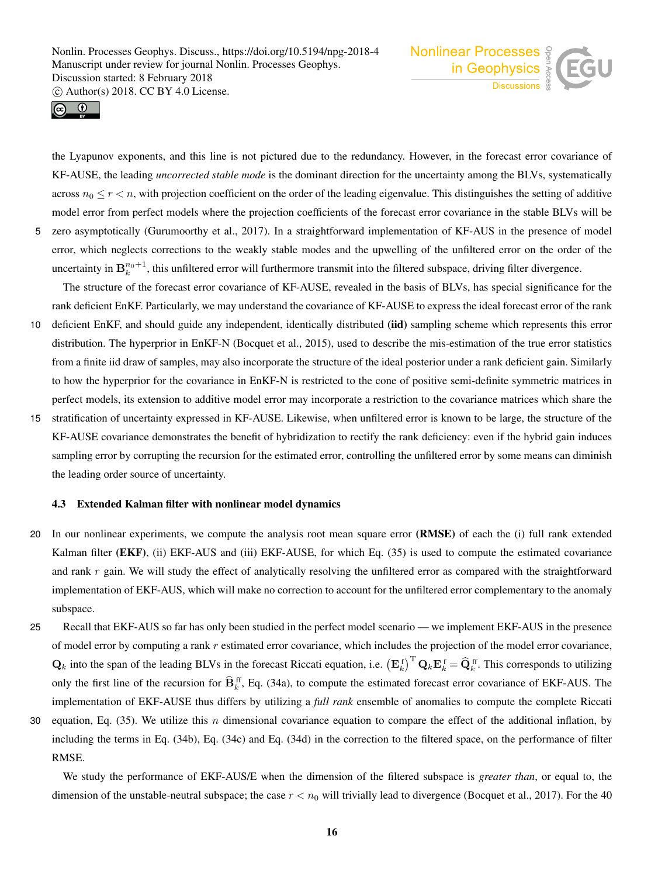



the Lyapunov exponents, and this line is not pictured due to the redundancy. However, in the forecast error covariance of KF-AUSE, the leading *uncorrected stable mode* is the dominant direction for the uncertainty among the BLVs, systematically across  $n_0 \le r < n$ , with projection coefficient on the order of the leading eigenvalue. This distinguishes the setting of additive model error from perfect models where the projection coefficients of the forecast error covariance in the stable BLVs will be 5 zero asymptotically (Gurumoorthy et al., 2017). In a straightforward implementation of KF-AUS in the presence of model error, which neglects corrections to the weakly stable modes and the upwelling of the unfiltered error on the order of the uncertainty in  $B_k^{n_0+1}$ , this unfiltered error will furthermore transmit into the filtered subspace, driving filter divergence.

The structure of the forecast error covariance of KF-AUSE, revealed in the basis of BLVs, has special significance for the rank deficient EnKF. Particularly, we may understand the covariance of KF-AUSE to express the ideal forecast error of the rank

- 10 deficient EnKF, and should guide any independent, identically distributed (iid) sampling scheme which represents this error distribution. The hyperprior in EnKF-N (Bocquet et al., 2015), used to describe the mis-estimation of the true error statistics from a finite iid draw of samples, may also incorporate the structure of the ideal posterior under a rank deficient gain. Similarly to how the hyperprior for the covariance in EnKF-N is restricted to the cone of positive semi-definite symmetric matrices in perfect models, its extension to additive model error may incorporate a restriction to the covariance matrices which share the
- 15 stratification of uncertainty expressed in KF-AUSE. Likewise, when unfiltered error is known to be large, the structure of the KF-AUSE covariance demonstrates the benefit of hybridization to rectify the rank deficiency: even if the hybrid gain induces sampling error by corrupting the recursion for the estimated error, controlling the unfiltered error by some means can diminish the leading order source of uncertainty.

# 4.3 Extended Kalman filter with nonlinear model dynamics

- 20 In our nonlinear experiments, we compute the analysis root mean square error (RMSE) of each the (i) full rank extended Kalman filter (EKF), (ii) EKF-AUS and (iii) EKF-AUSE, for which Eq. (35) is used to compute the estimated covariance and rank  $r$  gain. We will study the effect of analytically resolving the unfiltered error as compared with the straightforward implementation of EKF-AUS, which will make no correction to account for the unfiltered error complementary to the anomaly subspace.
- 25 Recall that EKF-AUS so far has only been studied in the perfect model scenario we implement EKF-AUS in the presence of model error by computing a rank  $r$  estimated error covariance, which includes the projection of the model error covariance,  $\mathbf{Q}_k$  into the span of the leading BLVs in the forecast Riccati equation, i.e.  $(\mathbf{E}_k^{\text{f}})^{\text{T}} \mathbf{Q}_k \mathbf{E}_k^{\text{f}} = \widehat{\mathbf{Q}}_k^{\text{ff}}$ . This corresponds to utilizing only the first line of the recursion for  $\hat{\mathbf{B}}_k^{\text{ff}}$ , Eq. (34a), to compute the estimated forecast error covariance of EKF-AUS. The implementation of EKF-AUSE thus differs by utilizing a *full rank* ensemble of anomalies to compute the complete Riccati
- 30 equation, Eq.  $(35)$ . We utilize this *n* dimensional covariance equation to compare the effect of the additional inflation, by including the terms in Eq. (34b), Eq. (34c) and Eq. (34d) in the correction to the filtered space, on the performance of filter RMSE.

We study the performance of EKF-AUS/E when the dimension of the filtered subspace is *greater than*, or equal to, the dimension of the unstable-neutral subspace; the case  $r < n_0$  will trivially lead to divergence (Bocquet et al., 2017). For the 40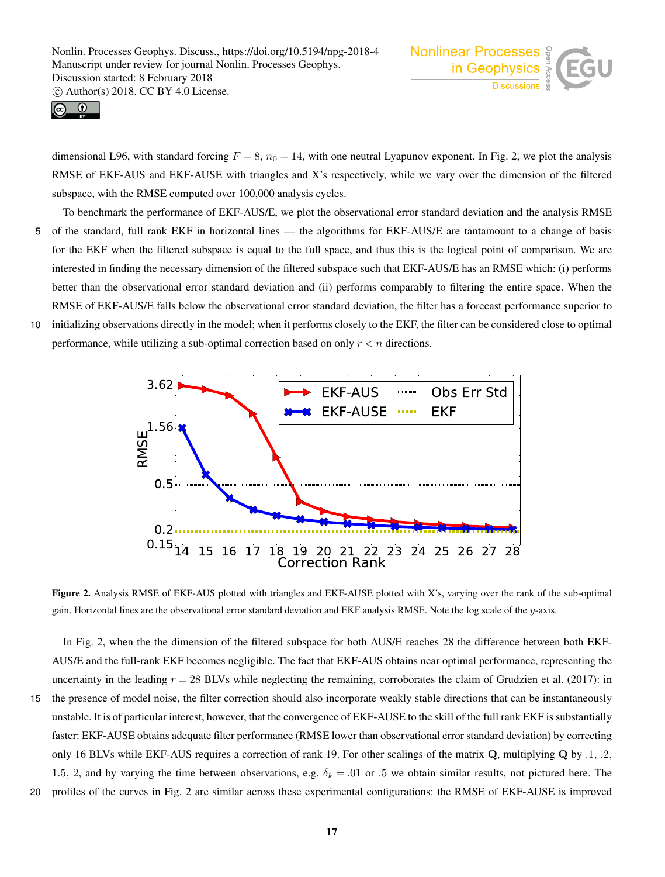



dimensional L96, with standard forcing  $F = 8$ ,  $n_0 = 14$ , with one neutral Lyapunov exponent. In Fig. 2, we plot the analysis RMSE of EKF-AUS and EKF-AUSE with triangles and X's respectively, while we vary over the dimension of the filtered subspace, with the RMSE computed over 100,000 analysis cycles.

- To benchmark the performance of EKF-AUS/E, we plot the observational error standard deviation and the analysis RMSE 5 of the standard, full rank EKF in horizontal lines — the algorithms for EKF-AUS/E are tantamount to a change of basis for the EKF when the filtered subspace is equal to the full space, and thus this is the logical point of comparison. We are interested in finding the necessary dimension of the filtered subspace such that EKF-AUS/E has an RMSE which: (i) performs better than the observational error standard deviation and (ii) performs comparably to filtering the entire space. When the RMSE of EKF-AUS/E falls below the observational error standard deviation, the filter has a forecast performance superior to 10 initializing observations directly in the model; when it performs closely to the EKF, the filter can be considered close to optimal
- performance, while utilizing a sub-optimal correction based on only  $r < n$  directions.



Figure 2. Analysis RMSE of EKF-AUS plotted with triangles and EKF-AUSE plotted with X's, varying over the rank of the sub-optimal gain. Horizontal lines are the observational error standard deviation and EKF analysis RMSE. Note the log scale of the y-axis.

In Fig. 2, when the the dimension of the filtered subspace for both AUS/E reaches 28 the difference between both EKF-AUS/E and the full-rank EKF becomes negligible. The fact that EKF-AUS obtains near optimal performance, representing the uncertainty in the leading  $r = 28$  BLVs while neglecting the remaining, corroborates the claim of Grudzien et al. (2017): in

- 15 the presence of model noise, the filter correction should also incorporate weakly stable directions that can be instantaneously unstable. It is of particular interest, however, that the convergence of EKF-AUSE to the skill of the full rank EKF is substantially faster: EKF-AUSE obtains adequate filter performance (RMSE lower than observational error standard deviation) by correcting only 16 BLVs while EKF-AUS requires a correction of rank 19. For other scalings of the matrix  $Q$ , multiplying  $Q$  by .1, .2, 1.5, 2, and by varying the time between observations, e.g.  $\delta_k = .01$  or .5 we obtain similar results, not pictured here. The
- 20 profiles of the curves in Fig. 2 are similar across these experimental configurations: the RMSE of EKF-AUSE is improved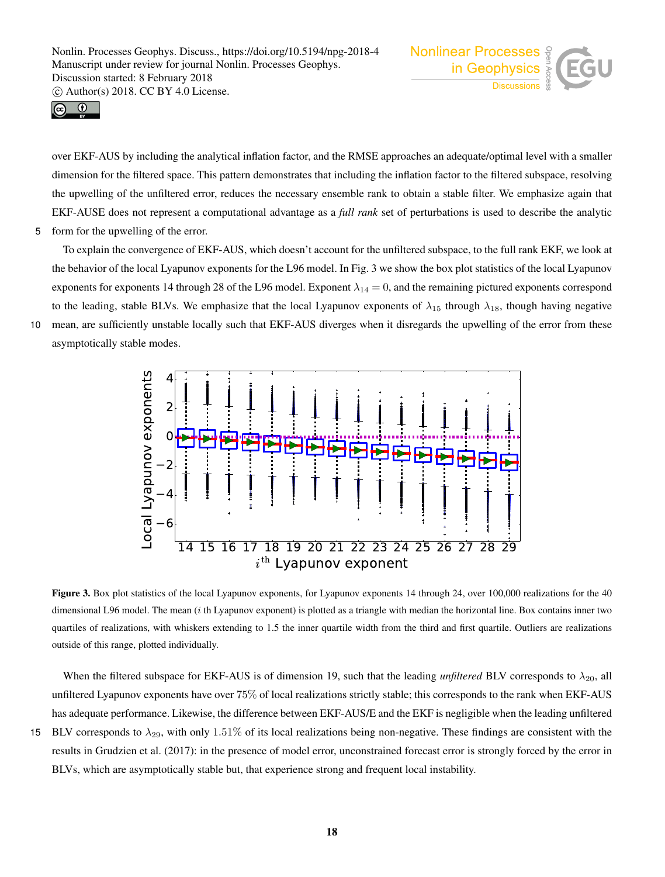



over EKF-AUS by including the analytical inflation factor, and the RMSE approaches an adequate/optimal level with a smaller dimension for the filtered space. This pattern demonstrates that including the inflation factor to the filtered subspace, resolving the upwelling of the unfiltered error, reduces the necessary ensemble rank to obtain a stable filter. We emphasize again that EKF-AUSE does not represent a computational advantage as a *full rank* set of perturbations is used to describe the analytic 5 form for the upwelling of the error.

To explain the convergence of EKF-AUS, which doesn't account for the unfiltered subspace, to the full rank EKF, we look at the behavior of the local Lyapunov exponents for the L96 model. In Fig. 3 we show the box plot statistics of the local Lyapunov exponents for exponents 14 through 28 of the L96 model. Exponent  $\lambda_{14} = 0$ , and the remaining pictured exponents correspond to the leading, stable BLVs. We emphasize that the local Lyapunov exponents of  $\lambda_{15}$  through  $\lambda_{18}$ , though having negative 10 mean, are sufficiently unstable locally such that EKF-AUS diverges when it disregards the upwelling of the error from these asymptotically stable modes.



Figure 3. Box plot statistics of the local Lyapunov exponents, for Lyapunov exponents 14 through 24, over 100,000 realizations for the 40 dimensional L96 model. The mean *(i* th Lyapunov exponent) is plotted as a triangle with median the horizontal line. Box contains inner two quartiles of realizations, with whiskers extending to 1.5 the inner quartile width from the third and first quartile. Outliers are realizations outside of this range, plotted individually.

When the filtered subspace for EKF-AUS is of dimension 19, such that the leading *unfiltered* BLV corresponds to  $\lambda_{20}$ , all unfiltered Lyapunov exponents have over 75% of local realizations strictly stable; this corresponds to the rank when EKF-AUS has adequate performance. Likewise, the difference between EKF-AUS/E and the EKF is negligible when the leading unfiltered

15 BLV corresponds to  $\lambda_{29}$ , with only 1.51% of its local realizations being non-negative. These findings are consistent with the results in Grudzien et al. (2017): in the presence of model error, unconstrained forecast error is strongly forced by the error in BLVs, which are asymptotically stable but, that experience strong and frequent local instability.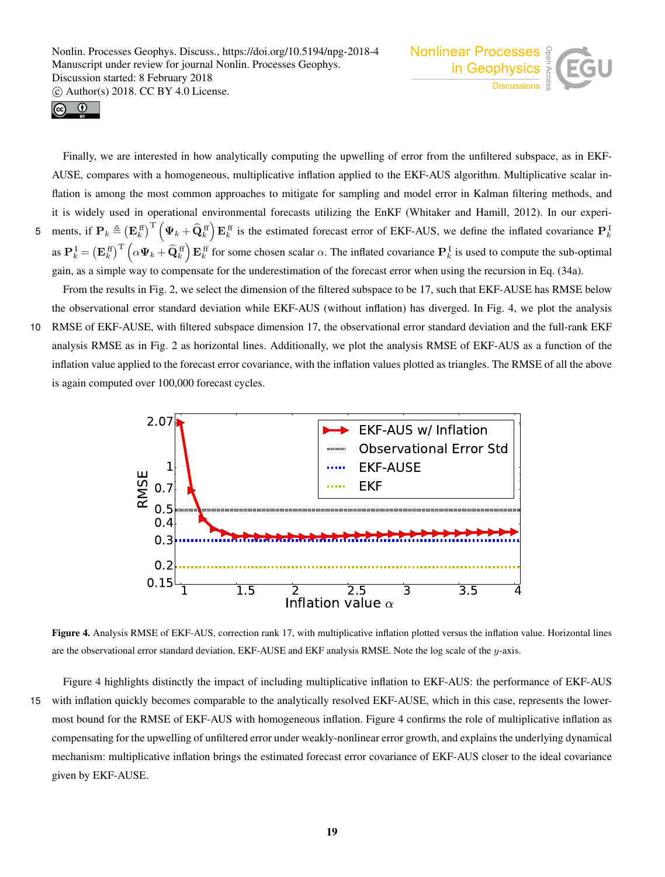



5

Finally, we are interested in how analytically computing the upwelling of error from the unfiltered subspace, as in EKF-AUSE, compares with a homogeneous, multiplicative inflation applied to the EKF-AUS algorithm. Multiplicative scalar inflation is among the most common approaches to mitigate for sampling and model error in Kalman filtering methods, and it is widely used in operational environmental forecasts utilizing the EnKF (Whitaker and Hamill, 2012). In our experiments, if  $\mathbf{P}_k \triangleq (\mathbf{E}_k^{\text{ff}})^{\text{T}} (\boldsymbol{\Psi}_k + \widehat{\mathbf{Q}}_k^{\text{ff}}) \mathbf{E}_k^{\text{ff}}$  is the estimated forecast error of EKF-AUS, we define the inflated covariance  $\mathbf{P}_k^1$ as  $\mathbf{P}_k^{\text{I}} = \left(\mathbf{E}_k^{\text{ff}}\right)^{\text{T}} \left(\alpha \mathbf{\Psi}_k + \widehat{\mathbf{Q}}_k^{\text{ff}}\right) \mathbf{E}_k^{\text{ff}}$  for some chosen scalar  $\alpha$ . The inflated covariance  $\mathbf{P}_k^{\text{I}}$  is used to compute the sub-optimal gain, as a simple way to compensate for the underestimation of the forecast error when using the recursion in Eq. (34a).

From the results in Fig. 2, we select the dimension of the filtered subspace to be 17, such that EKF-AUSE has RMSE below the observational error standard deviation while EKF-AUS (without inflation) has diverged. In Fig. 4, we plot the analysis

10 RMSE of EKF-AUSE, with filtered subspace dimension 17, the observational error standard deviation and the full-rank EKF analysis RMSE as in Fig. 2 as horizontal lines. Additionally, we plot the analysis RMSE of EKF-AUS as a function of the inflation value applied to the forecast error covariance, with the inflation values plotted as triangles. The RMSE of all the above is again computed over 100,000 forecast cycles.



Figure 4. Analysis RMSE of EKF-AUS, correction rank 17, with multiplicative inflation plotted versus the inflation value. Horizontal lines are the observational error standard deviation, EKF-AUSE and EKF analysis RMSE. Note the log scale of the y-axis.

Figure 4 highlights distinctly the impact of including multiplicative inflation to EKF-AUS: the performance of EKF-AUS 15 with inflation quickly becomes comparable to the analytically resolved EKF-AUSE, which in this case, represents the lowermost bound for the RMSE of EKF-AUS with homogeneous inflation. Figure 4 confirms the role of multiplicative inflation as compensating for the upwelling of unfiltered error under weakly-nonlinear error growth, and explains the underlying dynamical mechanism: multiplicative inflation brings the estimated forecast error covariance of EKF-AUS closer to the ideal covariance given by EKF-AUSE.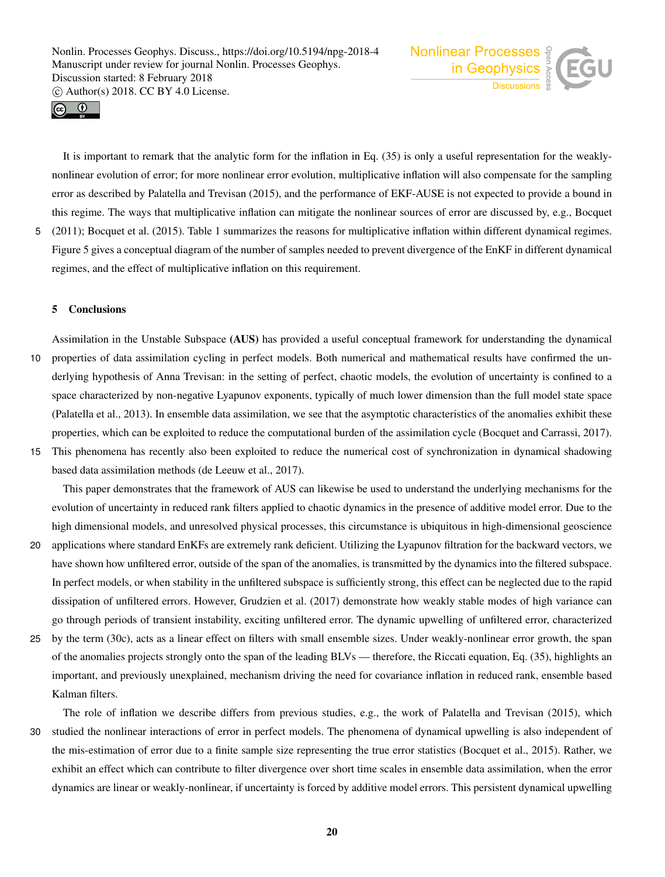



It is important to remark that the analytic form for the inflation in Eq. (35) is only a useful representation for the weaklynonlinear evolution of error; for more nonlinear error evolution, multiplicative inflation will also compensate for the sampling error as described by Palatella and Trevisan (2015), and the performance of EKF-AUSE is not expected to provide a bound in this regime. The ways that multiplicative inflation can mitigate the nonlinear sources of error are discussed by, e.g., Bocquet 5 (2011); Bocquet et al. (2015). Table 1 summarizes the reasons for multiplicative inflation within different dynamical regimes.

Figure 5 gives a conceptual diagram of the number of samples needed to prevent divergence of the EnKF in different dynamical regimes, and the effect of multiplicative inflation on this requirement.

#### 5 Conclusions

Assimilation in the Unstable Subspace (AUS) has provided a useful conceptual framework for understanding the dynamical 10 properties of data assimilation cycling in perfect models. Both numerical and mathematical results have confirmed the underlying hypothesis of Anna Trevisan: in the setting of perfect, chaotic models, the evolution of uncertainty is confined to a space characterized by non-negative Lyapunov exponents, typically of much lower dimension than the full model state space (Palatella et al., 2013). In ensemble data assimilation, we see that the asymptotic characteristics of the anomalies exhibit these properties, which can be exploited to reduce the computational burden of the assimilation cycle (Bocquet and Carrassi, 2017).

15 This phenomena has recently also been exploited to reduce the numerical cost of synchronization in dynamical shadowing based data assimilation methods (de Leeuw et al., 2017).

This paper demonstrates that the framework of AUS can likewise be used to understand the underlying mechanisms for the evolution of uncertainty in reduced rank filters applied to chaotic dynamics in the presence of additive model error. Due to the high dimensional models, and unresolved physical processes, this circumstance is ubiquitous in high-dimensional geoscience

- 20 applications where standard EnKFs are extremely rank deficient. Utilizing the Lyapunov filtration for the backward vectors, we have shown how unfiltered error, outside of the span of the anomalies, is transmitted by the dynamics into the filtered subspace. In perfect models, or when stability in the unfiltered subspace is sufficiently strong, this effect can be neglected due to the rapid dissipation of unfiltered errors. However, Grudzien et al. (2017) demonstrate how weakly stable modes of high variance can go through periods of transient instability, exciting unfiltered error. The dynamic upwelling of unfiltered error, characterized
- 25 by the term (30c), acts as a linear effect on filters with small ensemble sizes. Under weakly-nonlinear error growth, the span of the anomalies projects strongly onto the span of the leading BLVs — therefore, the Riccati equation, Eq. (35), highlights an important, and previously unexplained, mechanism driving the need for covariance inflation in reduced rank, ensemble based Kalman filters.

The role of inflation we describe differs from previous studies, e.g., the work of Palatella and Trevisan (2015), which 30 studied the nonlinear interactions of error in perfect models. The phenomena of dynamical upwelling is also independent of the mis-estimation of error due to a finite sample size representing the true error statistics (Bocquet et al., 2015). Rather, we exhibit an effect which can contribute to filter divergence over short time scales in ensemble data assimilation, when the error dynamics are linear or weakly-nonlinear, if uncertainty is forced by additive model errors. This persistent dynamical upwelling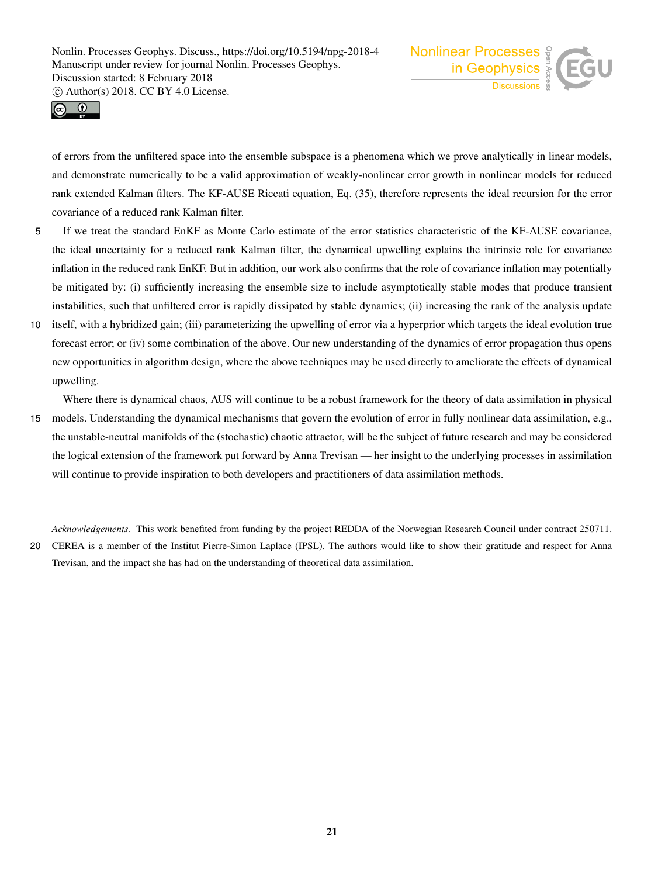



of errors from the unfiltered space into the ensemble subspace is a phenomena which we prove analytically in linear models, and demonstrate numerically to be a valid approximation of weakly-nonlinear error growth in nonlinear models for reduced rank extended Kalman filters. The KF-AUSE Riccati equation, Eq. (35), therefore represents the ideal recursion for the error covariance of a reduced rank Kalman filter.

- 5 If we treat the standard EnKF as Monte Carlo estimate of the error statistics characteristic of the KF-AUSE covariance, the ideal uncertainty for a reduced rank Kalman filter, the dynamical upwelling explains the intrinsic role for covariance inflation in the reduced rank EnKF. But in addition, our work also confirms that the role of covariance inflation may potentially be mitigated by: (i) sufficiently increasing the ensemble size to include asymptotically stable modes that produce transient instabilities, such that unfiltered error is rapidly dissipated by stable dynamics; (ii) increasing the rank of the analysis update
- 10 itself, with a hybridized gain; (iii) parameterizing the upwelling of error via a hyperprior which targets the ideal evolution true forecast error; or (iv) some combination of the above. Our new understanding of the dynamics of error propagation thus opens new opportunities in algorithm design, where the above techniques may be used directly to ameliorate the effects of dynamical upwelling.

Where there is dynamical chaos, AUS will continue to be a robust framework for the theory of data assimilation in physical

15 models. Understanding the dynamical mechanisms that govern the evolution of error in fully nonlinear data assimilation, e.g., the unstable-neutral manifolds of the (stochastic) chaotic attractor, will be the subject of future research and may be considered the logical extension of the framework put forward by Anna Trevisan — her insight to the underlying processes in assimilation will continue to provide inspiration to both developers and practitioners of data assimilation methods.

*Acknowledgements.* This work benefited from funding by the project REDDA of the Norwegian Research Council under contract 250711.

20 CEREA is a member of the Institut Pierre-Simon Laplace (IPSL). The authors would like to show their gratitude and respect for Anna Trevisan, and the impact she has had on the understanding of theoretical data assimilation.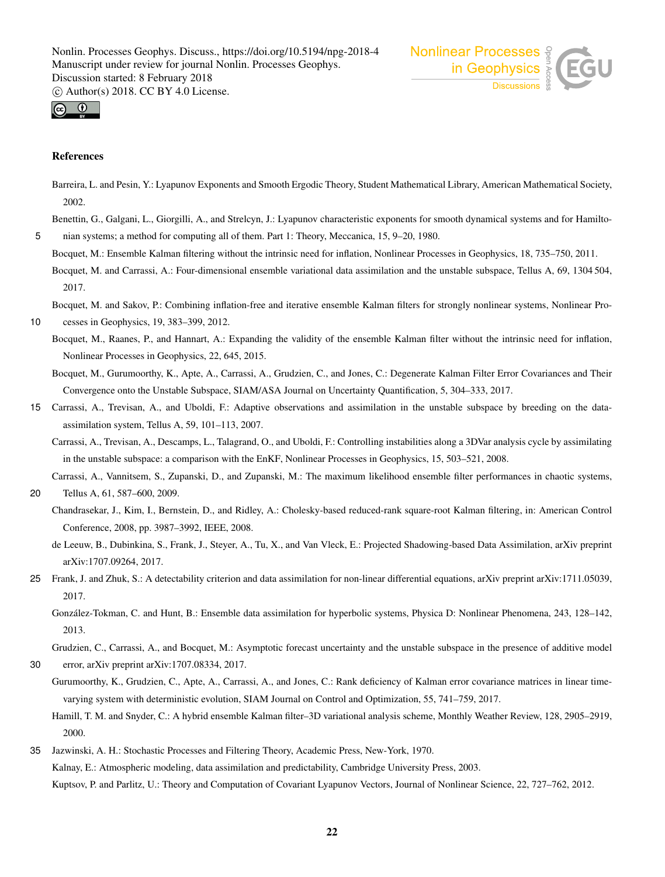



#### References

Barreira, L. and Pesin, Y.: Lyapunov Exponents and Smooth Ergodic Theory, Student Mathematical Library, American Mathematical Society, 2002.

Benettin, G., Galgani, L., Giorgilli, A., and Strelcyn, J.: Lyapunov characteristic exponents for smooth dynamical systems and for Hamilto-5 nian systems; a method for computing all of them. Part 1: Theory, Meccanica, 15, 9–20, 1980.

Bocquet, M.: Ensemble Kalman filtering without the intrinsic need for inflation, Nonlinear Processes in Geophysics, 18, 735–750, 2011. Bocquet, M. and Carrassi, A.: Four-dimensional ensemble variational data assimilation and the unstable subspace, Tellus A, 69, 1304 504, 2017.

Bocquet, M. and Sakov, P.: Combining inflation-free and iterative ensemble Kalman filters for strongly nonlinear systems, Nonlinear Pro-

- 10 cesses in Geophysics, 19, 383–399, 2012.
	- Bocquet, M., Raanes, P., and Hannart, A.: Expanding the validity of the ensemble Kalman filter without the intrinsic need for inflation, Nonlinear Processes in Geophysics, 22, 645, 2015.
	- Bocquet, M., Gurumoorthy, K., Apte, A., Carrassi, A., Grudzien, C., and Jones, C.: Degenerate Kalman Filter Error Covariances and Their Convergence onto the Unstable Subspace, SIAM/ASA Journal on Uncertainty Quantification, 5, 304–333, 2017.
- 15 Carrassi, A., Trevisan, A., and Uboldi, F.: Adaptive observations and assimilation in the unstable subspace by breeding on the dataassimilation system, Tellus A, 59, 101–113, 2007.
	- Carrassi, A., Trevisan, A., Descamps, L., Talagrand, O., and Uboldi, F.: Controlling instabilities along a 3DVar analysis cycle by assimilating in the unstable subspace: a comparison with the EnKF, Nonlinear Processes in Geophysics, 15, 503–521, 2008.
	- Carrassi, A., Vannitsem, S., Zupanski, D., and Zupanski, M.: The maximum likelihood ensemble filter performances in chaotic systems,
- 20 Tellus A, 61, 587–600, 2009.
	- Chandrasekar, J., Kim, I., Bernstein, D., and Ridley, A.: Cholesky-based reduced-rank square-root Kalman filtering, in: American Control Conference, 2008, pp. 3987–3992, IEEE, 2008.
	- de Leeuw, B., Dubinkina, S., Frank, J., Steyer, A., Tu, X., and Van Vleck, E.: Projected Shadowing-based Data Assimilation, arXiv preprint arXiv:1707.09264, 2017.
- 25 Frank, J. and Zhuk, S.: A detectability criterion and data assimilation for non-linear differential equations, arXiv preprint arXiv:1711.05039, 2017.

González-Tokman, C. and Hunt, B.: Ensemble data assimilation for hyperbolic systems, Physica D: Nonlinear Phenomena, 243, 128–142, 2013.

Grudzien, C., Carrassi, A., and Bocquet, M.: Asymptotic forecast uncertainty and the unstable subspace in the presence of additive model 30 error, arXiv preprint arXiv:1707.08334, 2017.

- Gurumoorthy, K., Grudzien, C., Apte, A., Carrassi, A., and Jones, C.: Rank deficiency of Kalman error covariance matrices in linear timevarying system with deterministic evolution, SIAM Journal on Control and Optimization, 55, 741–759, 2017.
	- Hamill, T. M. and Snyder, C.: A hybrid ensemble Kalman filter–3D variational analysis scheme, Monthly Weather Review, 128, 2905–2919, 2000.
- 35 Jazwinski, A. H.: Stochastic Processes and Filtering Theory, Academic Press, New-York, 1970. Kalnay, E.: Atmospheric modeling, data assimilation and predictability, Cambridge University Press, 2003. Kuptsov, P. and Parlitz, U.: Theory and Computation of Covariant Lyapunov Vectors, Journal of Nonlinear Science, 22, 727–762, 2012.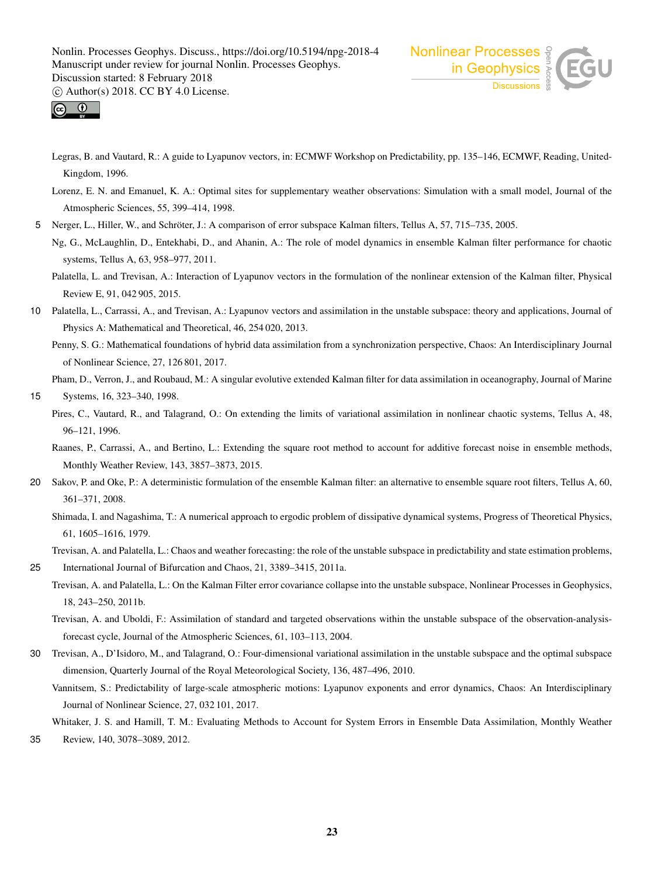



- Legras, B. and Vautard, R.: A guide to Lyapunov vectors, in: ECMWF Workshop on Predictability, pp. 135–146, ECMWF, Reading, United-Kingdom, 1996.
- Lorenz, E. N. and Emanuel, K. A.: Optimal sites for supplementary weather observations: Simulation with a small model, Journal of the Atmospheric Sciences, 55, 399–414, 1998.
- 5 Nerger, L., Hiller, W., and Schröter, J.: A comparison of error subspace Kalman filters, Tellus A, 57, 715–735, 2005.
	- Ng, G., McLaughlin, D., Entekhabi, D., and Ahanin, A.: The role of model dynamics in ensemble Kalman filter performance for chaotic systems, Tellus A, 63, 958–977, 2011.
		- Palatella, L. and Trevisan, A.: Interaction of Lyapunov vectors in the formulation of the nonlinear extension of the Kalman filter, Physical Review E, 91, 042 905, 2015.
- 10 Palatella, L., Carrassi, A., and Trevisan, A.: Lyapunov vectors and assimilation in the unstable subspace: theory and applications, Journal of Physics A: Mathematical and Theoretical, 46, 254 020, 2013.

Penny, S. G.: Mathematical foundations of hybrid data assimilation from a synchronization perspective, Chaos: An Interdisciplinary Journal of Nonlinear Science, 27, 126 801, 2017.

Pham, D., Verron, J., and Roubaud, M.: A singular evolutive extended Kalman filter for data assimilation in oceanography, Journal of Marine

```
15 Systems, 16, 323–340, 1998.
```
- Pires, C., Vautard, R., and Talagrand, O.: On extending the limits of variational assimilation in nonlinear chaotic systems, Tellus A, 48, 96–121, 1996.
	- Raanes, P., Carrassi, A., and Bertino, L.: Extending the square root method to account for additive forecast noise in ensemble methods, Monthly Weather Review, 143, 3857–3873, 2015.
- 20 Sakov, P. and Oke, P.: A deterministic formulation of the ensemble Kalman filter: an alternative to ensemble square root filters, Tellus A, 60, 361–371, 2008.
	- Shimada, I. and Nagashima, T.: A numerical approach to ergodic problem of dissipative dynamical systems, Progress of Theoretical Physics, 61, 1605–1616, 1979.
	- Trevisan, A. and Palatella, L.: Chaos and weather forecasting: the role of the unstable subspace in predictability and state estimation problems,
- 25 International Journal of Bifurcation and Chaos, 21, 3389–3415, 2011a.
	- Trevisan, A. and Palatella, L.: On the Kalman Filter error covariance collapse into the unstable subspace, Nonlinear Processes in Geophysics, 18, 243–250, 2011b.
	- Trevisan, A. and Uboldi, F.: Assimilation of standard and targeted observations within the unstable subspace of the observation-analysisforecast cycle, Journal of the Atmospheric Sciences, 61, 103–113, 2004.
- 30 Trevisan, A., D'Isidoro, M., and Talagrand, O.: Four-dimensional variational assimilation in the unstable subspace and the optimal subspace dimension, Quarterly Journal of the Royal Meteorological Society, 136, 487–496, 2010.
	- Vannitsem, S.: Predictability of large-scale atmospheric motions: Lyapunov exponents and error dynamics, Chaos: An Interdisciplinary Journal of Nonlinear Science, 27, 032 101, 2017.

Whitaker, J. S. and Hamill, T. M.: Evaluating Methods to Account for System Errors in Ensemble Data Assimilation, Monthly Weather

35 Review, 140, 3078–3089, 2012.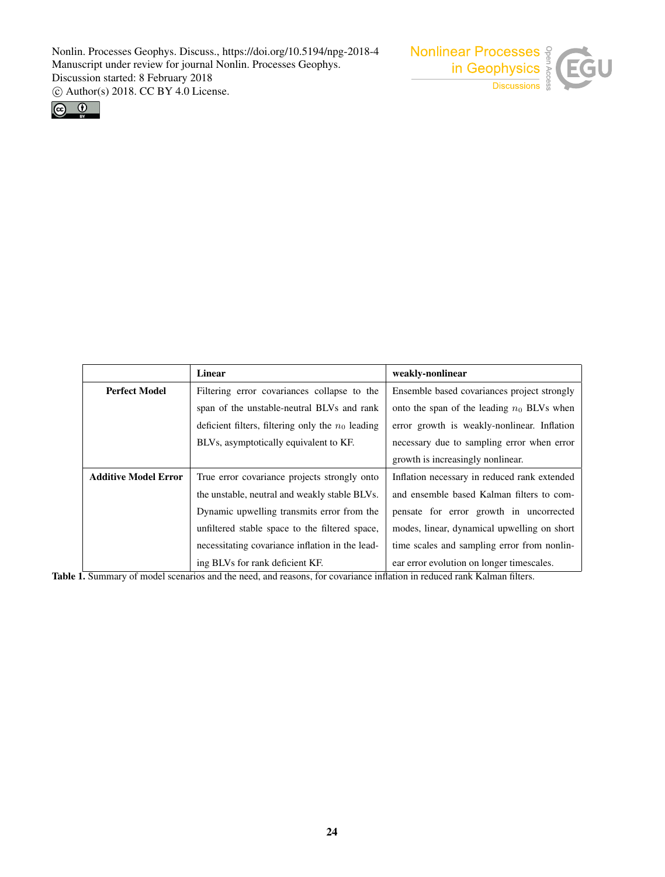



|                             | Linear                                              | weakly-nonlinear                             |
|-----------------------------|-----------------------------------------------------|----------------------------------------------|
| <b>Perfect Model</b>        | Filtering error covariances collapse to the         | Ensemble based covariances project strongly  |
|                             | span of the unstable-neutral BLVs and rank          | onto the span of the leading $n_0$ BLVs when |
|                             | deficient filters, filtering only the $n_0$ leading | error growth is weakly-nonlinear. Inflation  |
|                             | BLVs, asymptotically equivalent to KF.              | necessary due to sampling error when error   |
|                             |                                                     | growth is increasingly nonlinear.            |
| <b>Additive Model Error</b> | True error covariance projects strongly onto        | Inflation necessary in reduced rank extended |
|                             | the unstable, neutral and weakly stable BLVs.       | and ensemble based Kalman filters to com-    |
|                             | Dynamic upwelling transmits error from the          | pensate for error growth in uncorrected      |
|                             | unfiltered stable space to the filtered space,      | modes, linear, dynamical upwelling on short  |
|                             | necessitating covariance inflation in the lead-     | time scales and sampling error from nonlin-  |
|                             | ing BLVs for rank deficient KF.                     | ear error evolution on longer timescales.    |

Table 1. Summary of model scenarios and the need, and reasons, for covariance inflation in reduced rank Kalman filters.